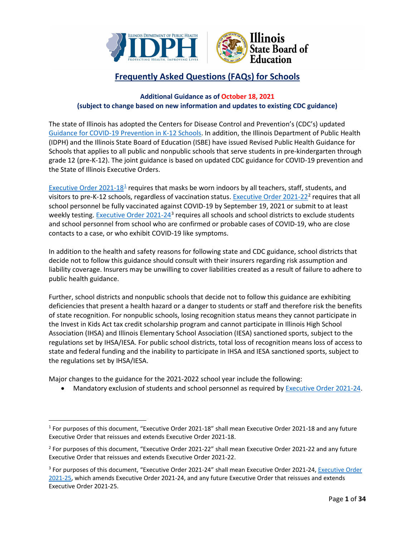

# **Frequently Asked Questions (FAQs) for Schools**

# **Additional Guidance as of October 18, 2021 (subject to change based on new information and updates to existing CDC guidance)**

The state of Illinois has adopted the Centers for Disease Control and Prevention's (CDC's) updated [Guidance for COVID-19 Prevention in K-12 Schools.](https://www.cdc.gov/coronavirus/2019-ncov/community/schools-childcare/k-12-guidance.html) In addition, the Illinois Department of Public Health (IDPH) and the Illinois State Board of Education (ISBE) have issued Revised Public Health Guidance for Schools that applies to all public and nonpublic schools that serve students in pre-kindergarten through grade 12 (pre-K-12). The joint guidance is based on updated CDC guidance for COVID-19 prevention and the State of Illinois Executive Orders.

[Executive Order 2021-18](https://www.illinois.gov/government/executive-orders/executive-order.executive-order-number-18.2021.html)<sup>[1](#page-0-0)</sup> requires that masks be worn indoors by all teachers, staff, students, and visitors to pre-K-12 schools, regardless of vaccination status[. Executive Order 2021-22](https://www.illinois.gov/government/executive-orders/executive-order.executive-order-number-22.2021.html)<sup>[2](#page-0-1)</sup> requires that all school personnel be fully vaccinated against COVID-19 by September 19, 2021 or submit to at least weekly testing[. Executive Order 2021-24](https://www.illinois.gov/government/executive-orders/executive-order.executive-order-number-24.2021.html)<sup>[3](#page-0-2)</sup> requires all schools and school districts to exclude students and school personnel from school who are confirmed or probable cases of COVID-19, who are close contacts to a case, or who exhibit COVID-19 like symptoms.

In addition to the health and safety reasons for following state and CDC guidance, school districts that decide not to follow this guidance should consult with their insurers regarding risk assumption and liability coverage. Insurers may be unwilling to cover liabilities created as a result of failure to adhere to public health guidance.

Further, school districts and nonpublic schools that decide not to follow this guidance are exhibiting deficiencies that present a health hazard or a danger to students or staff and therefore risk the benefits of state recognition. For nonpublic schools, losing recognition status means they cannot participate in the Invest in Kids Act tax credit scholarship program and cannot participate in Illinois High School Association (IHSA) and Illinois Elementary School Association (IESA) sanctioned sports, subject to the regulations set by IHSA/IESA. For public school districts, total loss of recognition means loss of access to state and federal funding and the inability to participate in IHSA and IESA sanctioned sports, subject to the regulations set by IHSA/IESA.

Major changes to the guidance for the 2021-2022 school year include the following:

• Mandatory exclusion of students and school personnel as required by [Executive Order 2021-24.](https://www.illinois.gov/government/executive-orders/executive-order.executive-order-number-24.2021.html)

<span id="page-0-0"></span><sup>1</sup> For purposes of this document, "Executive Order 2021-18" shall mean Executive Order 2021-18 and any future Executive Order that reissues and extends Executive Order 2021-18.

<span id="page-0-1"></span><sup>2</sup> For purposes of this document, "Executive Order 2021-22" shall mean Executive Order 2021-22 and any future Executive Order that reissues and extends Executive Order 2021-22.

<span id="page-0-2"></span><sup>&</sup>lt;sup>3</sup> For purposes of this document, "Executive Order 2021-24" shall mean Executive Order 2021-24, Executive Order [2021-25,](https://www.illinois.gov/government/executive-orders/executive-order.executive-order-number-25.2021.html) which amends Executive Order 2021-24, and any future Executive Order that reissues and extends Executive Order 2021-25.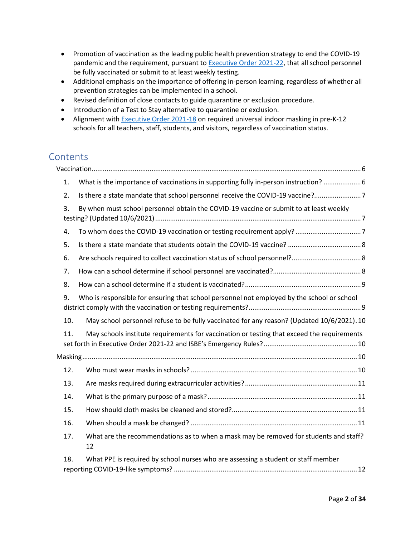- Promotion of vaccination as the leading public health prevention strategy to end the COVID-19 pandemic and the requirement, pursuant to **Executive Order 2021-22**, that all school personnel be fully vaccinated or submit to at least weekly testing.
- Additional emphasis on the importance of offering in-person learning, regardless of whether all prevention strategies can be implemented in a school.
- Revised definition of close contacts to guide quarantine or exclusion procedure.
- Introduction of a Test to Stay alternative to quarantine or exclusion.
- Alignment with [Executive Order 2021-18](https://www.illinois.gov/government/executive-orders/executive-order.executive-order-number-18.2021.html) on required universal indoor masking in pre-K-12 schools for all teachers, staff, students, and visitors, regardless of vaccination status.

# **Contents**

| 1.  | What is the importance of vaccinations in supporting fully in-person instruction?  6        |  |
|-----|---------------------------------------------------------------------------------------------|--|
| 2.  | Is there a state mandate that school personnel receive the COVID-19 vaccine?7               |  |
| 3.  | By when must school personnel obtain the COVID-19 vaccine or submit to at least weekly      |  |
| 4.  |                                                                                             |  |
| 5.  |                                                                                             |  |
| 6.  |                                                                                             |  |
| 7.  |                                                                                             |  |
| 8.  |                                                                                             |  |
| 9.  | Who is responsible for ensuring that school personnel not employed by the school or school  |  |
| 10. | May school personnel refuse to be fully vaccinated for any reason? (Updated 10/6/2021). 10  |  |
| 11. | May schools institute requirements for vaccination or testing that exceed the requirements  |  |
|     |                                                                                             |  |
| 12. |                                                                                             |  |
| 13. |                                                                                             |  |
| 14. |                                                                                             |  |
| 15. |                                                                                             |  |
| 16. |                                                                                             |  |
| 17. | What are the recommendations as to when a mask may be removed for students and staff?<br>12 |  |
| 18. | What PPE is required by school nurses who are assessing a student or staff member           |  |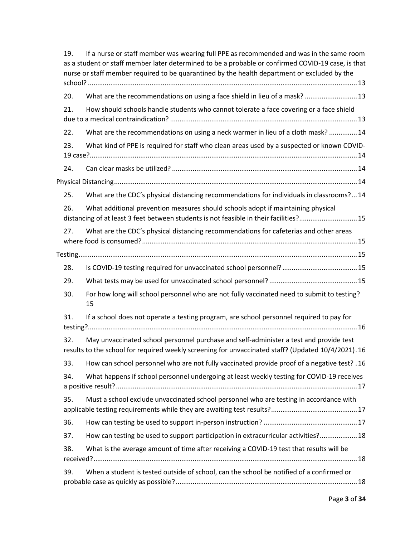| 19. | If a nurse or staff member was wearing full PPE as recommended and was in the same room<br>as a student or staff member later determined to be a probable or confirmed COVID-19 case, is that<br>nurse or staff member required to be quarantined by the health department or excluded by the |
|-----|-----------------------------------------------------------------------------------------------------------------------------------------------------------------------------------------------------------------------------------------------------------------------------------------------|
|     |                                                                                                                                                                                                                                                                                               |
| 20. | What are the recommendations on using a face shield in lieu of a mask?  13                                                                                                                                                                                                                    |
| 21. | How should schools handle students who cannot tolerate a face covering or a face shield                                                                                                                                                                                                       |
| 22. | What are the recommendations on using a neck warmer in lieu of a cloth mask?  14                                                                                                                                                                                                              |
| 23. | What kind of PPE is required for staff who clean areas used by a suspected or known COVID-                                                                                                                                                                                                    |
| 24. |                                                                                                                                                                                                                                                                                               |
|     |                                                                                                                                                                                                                                                                                               |
| 25. | What are the CDC's physical distancing recommendations for individuals in classrooms?14                                                                                                                                                                                                       |
| 26. | What additional prevention measures should schools adopt if maintaining physical<br>distancing of at least 3 feet between students is not feasible in their facilities?15                                                                                                                     |
| 27. | What are the CDC's physical distancing recommendations for cafeterias and other areas                                                                                                                                                                                                         |
|     |                                                                                                                                                                                                                                                                                               |
| 28. |                                                                                                                                                                                                                                                                                               |
| 29. |                                                                                                                                                                                                                                                                                               |
| 30. | For how long will school personnel who are not fully vaccinated need to submit to testing?<br>15                                                                                                                                                                                              |
| 31. | If a school does not operate a testing program, are school personnel required to pay for                                                                                                                                                                                                      |
| 32. | May unvaccinated school personnel purchase and self-administer a test and provide test<br>results to the school for required weekly screening for unvaccinated staff? (Updated 10/4/2021). 16                                                                                                 |
| 33. | 16. How can school personnel who are not fully vaccinated provide proof of a negative test? .16                                                                                                                                                                                               |
| 34. | What happens if school personnel undergoing at least weekly testing for COVID-19 receives                                                                                                                                                                                                     |
| 35. | Must a school exclude unvaccinated school personnel who are testing in accordance with                                                                                                                                                                                                        |
| 36. |                                                                                                                                                                                                                                                                                               |
| 37. | How can testing be used to support participation in extracurricular activities? 18                                                                                                                                                                                                            |
| 38. | What is the average amount of time after receiving a COVID-19 test that results will be                                                                                                                                                                                                       |
|     |                                                                                                                                                                                                                                                                                               |
| 39. | When a student is tested outside of school, can the school be notified of a confirmed or                                                                                                                                                                                                      |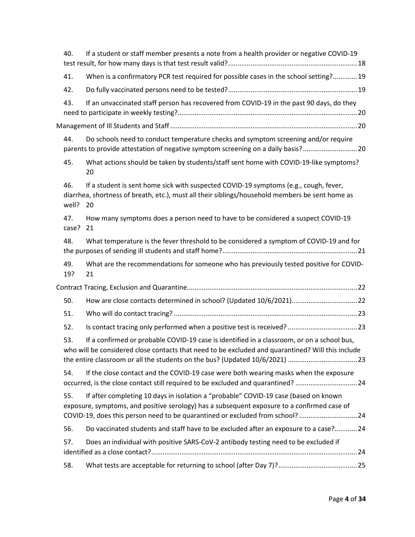| 40.          | If a student or staff member presents a note from a health provider or negative COVID-19                                                                                                                                                                                       |  |
|--------------|--------------------------------------------------------------------------------------------------------------------------------------------------------------------------------------------------------------------------------------------------------------------------------|--|
| 41.          | When is a confirmatory PCR test required for possible cases in the school setting? 19                                                                                                                                                                                          |  |
| 42.          |                                                                                                                                                                                                                                                                                |  |
| 43.          | If an unvaccinated staff person has recovered from COVID-19 in the past 90 days, do they                                                                                                                                                                                       |  |
|              |                                                                                                                                                                                                                                                                                |  |
| 44.          | Do schools need to conduct temperature checks and symptom screening and/or require<br>parents to provide attestation of negative symptom screening on a daily basis?20                                                                                                         |  |
| 45.          | What actions should be taken by students/staff sent home with COVID-19-like symptoms?<br>20                                                                                                                                                                                    |  |
| 46.<br>well? | If a student is sent home sick with suspected COVID-19 symptoms (e.g., cough, fever,<br>diarrhea, shortness of breath, etc.), must all their siblings/household members be sent home as<br>20                                                                                  |  |
| 47.<br>case? | How many symptoms does a person need to have to be considered a suspect COVID-19<br>21                                                                                                                                                                                         |  |
| 48.          | What temperature is the fever threshold to be considered a symptom of COVID-19 and for                                                                                                                                                                                         |  |
| 49.<br>19?   | What are the recommendations for someone who has previously tested positive for COVID-<br>21                                                                                                                                                                                   |  |
|              |                                                                                                                                                                                                                                                                                |  |
| 50.          |                                                                                                                                                                                                                                                                                |  |
| 51.          |                                                                                                                                                                                                                                                                                |  |
|              |                                                                                                                                                                                                                                                                                |  |
| 52.          |                                                                                                                                                                                                                                                                                |  |
| 53.          | If a confirmed or probable COVID-19 case is identified in a classroom, or on a school bus,<br>who will be considered close contacts that need to be excluded and quarantined? Will this include<br>the entire classroom or all the students on the bus? (Updated 10/6/2021) 23 |  |
| 54.          | If the close contact and the COVID-19 case were both wearing masks when the exposure<br>occurred, is the close contact still required to be excluded and quarantined? 24                                                                                                       |  |
| 55.          | If after completing 10 days in isolation a "probable" COVID-19 case (based on known<br>exposure, symptoms, and positive serology) has a subsequent exposure to a confirmed case of<br>COVID-19, does this person need to be quarantined or excluded from school? 24            |  |
| 56.          | Do vaccinated students and staff have to be excluded after an exposure to a case? 24                                                                                                                                                                                           |  |
| 57.          | Does an individual with positive SARS-CoV-2 antibody testing need to be excluded if                                                                                                                                                                                            |  |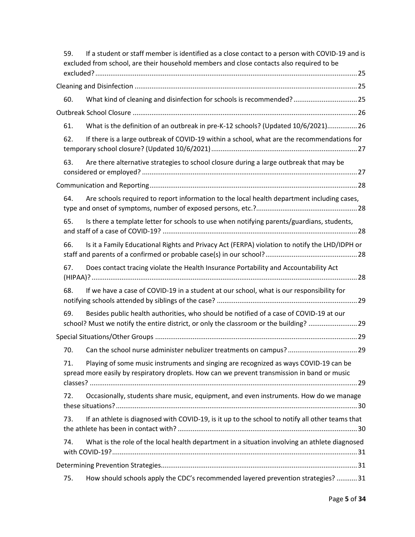| 59. | If a student or staff member is identified as a close contact to a person with COVID-19 and is<br>excluded from school, are their household members and close contacts also required to be |  |
|-----|--------------------------------------------------------------------------------------------------------------------------------------------------------------------------------------------|--|
|     |                                                                                                                                                                                            |  |
| 60. | What kind of cleaning and disinfection for schools is recommended? 25                                                                                                                      |  |
|     |                                                                                                                                                                                            |  |
| 61. | What is the definition of an outbreak in pre-K-12 schools? (Updated 10/6/2021)26                                                                                                           |  |
| 62. | If there is a large outbreak of COVID-19 within a school, what are the recommendations for                                                                                                 |  |
| 63. | Are there alternative strategies to school closure during a large outbreak that may be                                                                                                     |  |
|     |                                                                                                                                                                                            |  |
| 64. | Are schools required to report information to the local health department including cases,                                                                                                 |  |
| 65. | Is there a template letter for schools to use when notifying parents/guardians, students,                                                                                                  |  |
| 66. | Is it a Family Educational Rights and Privacy Act (FERPA) violation to notify the LHD/IDPH or                                                                                              |  |
| 67. | Does contact tracing violate the Health Insurance Portability and Accountability Act                                                                                                       |  |
| 68. | If we have a case of COVID-19 in a student at our school, what is our responsibility for                                                                                                   |  |
| 69. | Besides public health authorities, who should be notified of a case of COVID-19 at our<br>school? Must we notify the entire district, or only the classroom or the building? 29            |  |
|     |                                                                                                                                                                                            |  |
| 70. |                                                                                                                                                                                            |  |
| 71. | Playing of some music instruments and singing are recognized as ways COVID-19 can be<br>spread more easily by respiratory droplets. How can we prevent transmission in band or music       |  |
| 72. | Occasionally, students share music, equipment, and even instruments. How do we manage                                                                                                      |  |
| 73. | If an athlete is diagnosed with COVID-19, is it up to the school to notify all other teams that                                                                                            |  |
| 74. | What is the role of the local health department in a situation involving an athlete diagnosed                                                                                              |  |
|     |                                                                                                                                                                                            |  |
| 75. | How should schools apply the CDC's recommended layered prevention strategies? 31                                                                                                           |  |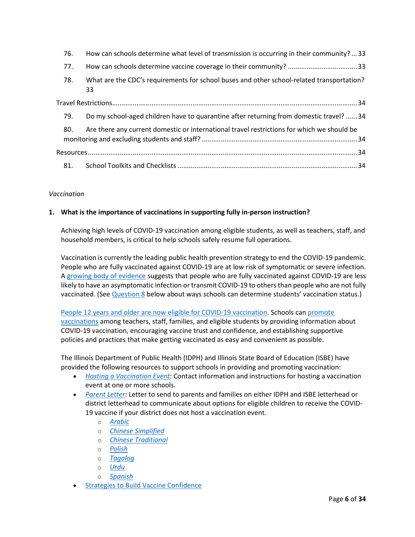| 76. | How can schools determine what level of transmission is occurring in their community?  33       |  |  |  |  |
|-----|-------------------------------------------------------------------------------------------------|--|--|--|--|
| 77. |                                                                                                 |  |  |  |  |
| 78. | What are the CDC's requirements for school buses and other school-related transportation?<br>33 |  |  |  |  |
|     |                                                                                                 |  |  |  |  |
| 79. | Do my school-aged children have to quarantine after returning from domestic travel?  34         |  |  |  |  |
| 80. | Are there any current domestic or international travel restrictions for which we should be      |  |  |  |  |
|     |                                                                                                 |  |  |  |  |
|     |                                                                                                 |  |  |  |  |

# <span id="page-5-0"></span>*Vaccination*

# <span id="page-5-1"></span>**1. What is the importance of vaccinations in supporting fully in-person instruction?**

Achieving high levels of COVID-19 vaccination among eligible students, as well as teachers, staff, and household members, is critical to help schools safely resume full operations.

Vaccination is currently the leading public health prevention strategy to end the COVID-19 pandemic. People who are fully vaccinated against COVID-19 are at low risk of symptomatic or severe infection. A [growing body of evidence](https://www.cdc.gov/coronavirus/2019-ncov/science/science-briefs/fully-vaccinated-people.html?CDC_AA_refVal=https%3A%2F%2Fwww.cdc.gov%2Fcoronavirus%2F2019-ncov%2Fmore%2Ffully-vaccinated-people.html) suggests that people who are fully vaccinated against COVID-19 are less likely to have an asymptomatic infection or transmit COVID-19 to others than people who are not fully vaccinated. (See [Question 8](#page-8-0) below about ways schools can determine students' vaccination status.)

[People 12 years and older are now eligible for COVID-19 vaccination.](https://www.cdc.gov/coronavirus/2019-ncov/vaccines/recommendations/adolescents.html) Schools can [promote](https://www.cdc.gov/vaccines/covid-19/planning/school-located-clinics/how-schools-can-support.html)  [vaccinations](https://www.cdc.gov/vaccines/covid-19/planning/school-located-clinics/how-schools-can-support.html) among teachers, staff, families, and eligible students by providing information about COVID-19 vaccination, encouraging vaccine trust and confidence, and establishing supportive policies and practices that make getting vaccinated as easy and convenient as possible.

The Illinois Department of Public Health (IDPH) and Illinois State Board of Education (ISBE) have provided the following resources to support schools in providing and promoting vaccination:

- *[Hosting a Vaccination Event](https://www.isbe.net/Documents/Vaccination-site-request-ISBE-IDPH.pdf)*: Contact information and instructions for hosting a vaccination event at one or more schools.
- *[Parent Letter](https://www.isbe.net/_layouts/Download.aspx?SourceUrl=/Documents/Parent-Letter-Vaccine.docx)*: Letter to send to parents and families on either IDPH and ISBE letterhead or district letterhead to communicate about options for eligible children to receive the COVID-19 vaccine if your district does not host a vaccination event.
	- o *[Arabic](https://www.isbe.net/_layouts/Download.aspx?SourceUrl=/Documents/Parent-Letter-Vaccine-Arabic.docx)*
	- o *[Chinese Simplified](https://www.isbe.net/_layouts/Download.aspx?SourceUrl=/Documents/Parent-Letter-Vaccine-Chinese-Simplified.docx)*
	- o *[Chinese Traditional](https://www.isbe.net/_layouts/Download.aspx?SourceUrl=/Documents/Parent-Letter-Vaccine-Chinese-Traditional.docx)*
	- o *[Polish](https://www.isbe.net/_layouts/Download.aspx?SourceUrl=/Documents/Parent-Letter-Vaccine-Polish.docx)*
	- o *[Tagalog](https://www.isbe.net/_layouts/Download.aspx?SourceUrl=/Documents/Parent-Letter-Vaccine-Tagalog.docx)*
	- o *[Urdu](https://www.isbe.net/_layouts/Download.aspx?SourceUrl=/Documents/Parent-Letter-Vaccine-Urdu.docx)*
	- o *[Spanish](https://www.isbe.net/_layouts/Download.aspx?SourceUrl=/Documents/Parent-Letter-Vaccine-Spanish.docx)*
- **Strategies to Build Vaccine Confidence**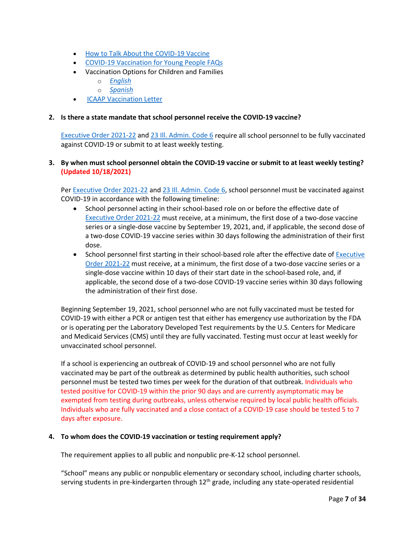- [How to Talk About the COVID-19 Vaccine](https://www.isbe.net/Documents/How-to-Talk-About-the-COVID-19-Vaccine.pdf)
- [COVID-19 Vaccination for Young People FAQs](https://www.isbe.net/Documents/20210611-COVID-19-Youth-Vaccination.pdf)
- Vaccination Options for Children and Families
	- o *[English](https://www.isbe.net/Documents/Infographic-COVID-19-12-and-Over-Vaccinated.pdf)*
	- o *[Spanish](https://www.isbe.net/Documents/Infographic-COVID-19-12-and-Over-Vaccinated-Spanish.pdf)*
- [ICAAP Vaccination Letter](https://www.isbe.net/Documents/ICAAP-Vaccination-Letter-20210721.pdf)

#### <span id="page-6-0"></span>**2. Is there a state mandate that school personnel receive the COVID-19 vaccine?**

[Executive Order 2021-22](https://www.illinois.gov/government/executive-orders/executive-order.executive-order-number-22.2021.html) and [23 Ill. Admin. Code 6](https://www.isbe.net/Documents/18389_23-6RG-E.pdf) require all school personnel to be fully vaccinated against COVID-19 or submit to at least weekly testing.

# <span id="page-6-1"></span>**3. By when must school personnel obtain the COVID-19 vaccine or submit to at least weekly testing? (Updated 10/18/2021)**

Pe[r Executive Order 2021-22](https://www.illinois.gov/government/executive-orders/executive-order.executive-order-number-22.2021.html) and [23 Ill. Admin. Code 6,](https://www.isbe.net/Documents/18389_23-6RG-E.pdf) school personnel must be vaccinated against COVID-19 in accordance with the following timeline:

- School personnel acting in their school-based role on or before the effective date of [Executive Order 2021-22](https://www.illinois.gov/government/executive-orders/executive-order.executive-order-number-22.2021.html) must receive, at a minimum, the first dose of a two-dose vaccine series or a single-dose vaccine by September 19, 2021, and, if applicable, the second dose of a two-dose COVID-19 vaccine series within 30 days following the administration of their first dose.
- School personnel first starting in their school-based role after the effective date of Executive [Order 2021-22](https://www.illinois.gov/government/executive-orders/executive-order.executive-order-number-22.2021.html) must receive, at a minimum, the first dose of a two-dose vaccine series or a single-dose vaccine within 10 days of their start date in the school-based role, and, if applicable, the second dose of a two-dose COVID-19 vaccine series within 30 days following the administration of their first dose.

Beginning September 19, 2021, school personnel who are not fully vaccinated must be tested for COVID-19 with either a PCR or antigen test that either has emergency use authorization by the FDA or is operating per the Laboratory Developed Test requirements by the U.S. Centers for Medicare and Medicaid Services (CMS) until they are fully vaccinated. Testing must occur at least weekly for unvaccinated school personnel.

If a school is experiencing an outbreak of COVID-19 and school personnel who are not fully vaccinated may be part of the outbreak as determined by public health authorities, such school personnel must be tested two times per week for the duration of that outbreak. Individuals who tested positive for COVID-19 within the prior 90 days and are currently asymptomatic may be exempted from testing during outbreaks, unless otherwise required by local public health officials. Individuals who are fully vaccinated and a close contact of a COVID-19 case should be tested 5 to 7 days after exposure.

#### <span id="page-6-2"></span>**4. To whom does the COVID-19 vaccination or testing requirement apply?**

The requirement applies to all public and nonpublic pre-K-12 school personnel.

"School" means any public or nonpublic elementary or secondary school, including charter schools, serving students in pre-kindergarten through  $12<sup>th</sup>$  grade, including any state-operated residential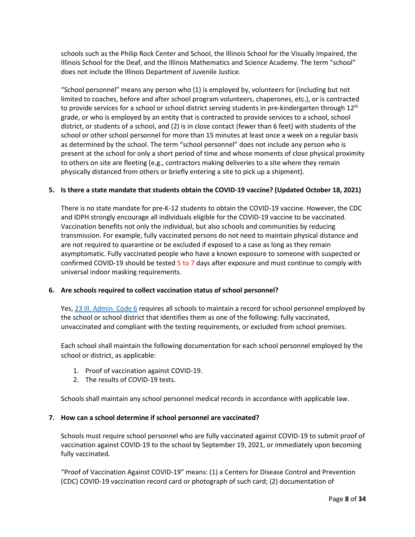schools such as the Philip Rock Center and School, the Illinois School for the Visually Impaired, the Illinois School for the Deaf, and the Illinois Mathematics and Science Academy. The term "school" does not include the Illinois Department of Juvenile Justice.

"School personnel" means any person who (1) is employed by, volunteers for (including but not limited to coaches, before and after school program volunteers, chaperones, etc.), or is contracted to provide services for a school or school district serving students in pre-kindergarten through  $12<sup>th</sup>$ grade, or who is employed by an entity that is contracted to provide services to a school, school district, or students of a school, and (2) is in close contact (fewer than 6 feet) with students of the school or other school personnel for more than 15 minutes at least once a week on a regular basis as determined by the school. The term "school personnel" does not include any person who is present at the school for only a short period of time and whose moments of close physical proximity to others on site are fleeting (e.g., contractors making deliveries to a site where they remain physically distanced from others or briefly entering a site to pick up a shipment).

# <span id="page-7-0"></span>**5. Is there a state mandate that students obtain the COVID-19 vaccine? (Updated October 18, 2021)**

There is no state mandate for pre-K-12 students to obtain the COVID-19 vaccine. However, the CDC and IDPH strongly encourage all individuals eligible for the COVID-19 vaccine to be vaccinated. Vaccination benefits not only the individual, but also schools and communities by reducing transmission. For example, fully vaccinated persons do not need to maintain physical distance and are not required to quarantine or be excluded if exposed to a case as long as they remain asymptomatic. Fully vaccinated people who have a known exposure to someone with suspected or confirmed COVID-19 should be tested 5 to 7 days after exposure and must continue to comply with universal indoor masking requirements.

# <span id="page-7-1"></span>**6. Are schools required to collect vaccination status of school personnel?**

Yes, [23 Ill. Admin. Code 6](https://www.isbe.net/Documents/18389_23-6RG-E.pdf) requires all schools to maintain a record for school personnel employed by the school or school district that identifies them as one of the following: fully vaccinated, unvaccinated and compliant with the testing requirements, or excluded from school premises.

Each school shall maintain the following documentation for each school personnel employed by the school or district, as applicable:

- 1. Proof of vaccination against COVID-19.
- 2. The results of COVID-19 tests.

Schools shall maintain any school personnel medical records in accordance with applicable law.

# <span id="page-7-2"></span>**7. How can a school determine if school personnel are vaccinated?**

Schools must require school personnel who are fully vaccinated against COVID-19 to submit proof of vaccination against COVID-19 to the school by September 19, 2021, or immediately upon becoming fully vaccinated.

"Proof of Vaccination Against COVID-19" means: (1) a Centers for Disease Control and Prevention (CDC) COVID-19 vaccination record card or photograph of such card; (2) documentation of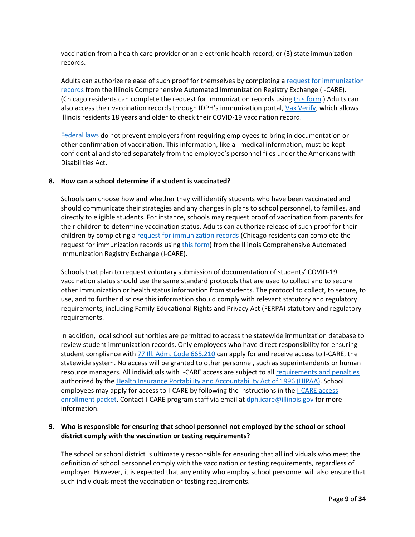vaccination from a health care provider or an electronic health record; or (3) state immunization records.

Adults can authorize release of such proof for themselves by completing a request for immunization [records](https://dph.illinois.gov/topics-services/prevention-wellness/immunization/icare) from the Illinois Comprehensive Automated Immunization Registry Exchange (I-CARE). (Chicago residents can complete the request for immunization records usin[g this form.](https://redcap.dph.illinois.gov/surveys/?s=HYHDYDTL8D)) Adults can also access their vaccination records through IDPH's immunization portal, [Vax Verify,](https://idphportal.illinois.gov/) which allows Illinois residents 18 years and older to check their COVID-19 vaccination record.

[Federal laws](https://www.eeoc.gov/wysk/what-you-should-know-about-covid-19-and-ada-rehabilitation-act-and-other-eeo-laws) do not prevent employers from requiring employees to bring in documentation or other confirmation of vaccination. This information, like all medical information, must be kept confidential and stored separately from the employee's personnel files under the Americans with Disabilities Act.

#### <span id="page-8-0"></span>**8. How can a school determine if a student is vaccinated?**

Schools can choose how and whether they will identify students who have been vaccinated and should communicate their strategies and any changes in plans to school personnel, to families, and directly to eligible students. For instance, schools may request proof of vaccination from parents for their children to determine vaccination status. Adults can authorize release of such proof for their children by completing [a request for immunization records](https://dph.illinois.gov/topics-services/prevention-wellness/immunization/icare) (Chicago residents can complete the request for immunization records usin[g this form\)](https://redcap.dph.illinois.gov/surveys/?s=HYHDYDTL8D) from the Illinois Comprehensive Automated Immunization Registry Exchange (I-CARE).

Schools that plan to request voluntary submission of documentation of students' COVID-19 vaccination status should use the same standard protocols that are used to collect and to secure other immunization or health status information from students. The protocol to collect, to secure, to use, and to further disclose this information should comply with relevant statutory and regulatory requirements, including Family Educational Rights and Privacy Act (FERPA) statutory and regulatory requirements.

In addition, local school authorities are permitted to access the statewide immunization database to review student immunization records. Only employees who have direct responsibility for ensuring student compliance with  $\frac{77}{10}$ . Adm. Code 665.210 can apply for and receive access to I-CARE, the statewide system. No access will be granted to other personnel, such as superintendents or human resource managers. All individuals with I-CARE access are subject to all [requirements and penalties](https://www.hhs.gov/hipaa/for-professionals/special-topics/hipaa-covid19/index.html) authorized by th[e Health Insurance Portability and Accountability Act of 1996 \(HIPAA\).](https://www.cdc.gov/phlp/publications/topic/hipaa.html) School employees may apply for access to I-CARE by following the instructions in the [I-CARE access](https://dph.illinois.gov/sites/default/files/forms/i-care-access-enrollment-packet.pdf)  [enrollment packet.](https://dph.illinois.gov/sites/default/files/forms/i-care-access-enrollment-packet.pdf) Contact I-CARE program staff via email at [dph.icare@illinois.gov](mailto:dph.icare@illinois.gov) for more information.

# <span id="page-8-1"></span>**9. Who is responsible for ensuring that school personnel not employed by the school or school district comply with the vaccination or testing requirements?**

The school or school district is ultimately responsible for ensuring that all individuals who meet the definition of school personnel comply with the vaccination or testing requirements, regardless of employer. However, it is expected that any entity who employ school personnel will also ensure that such individuals meet the vaccination or testing requirements.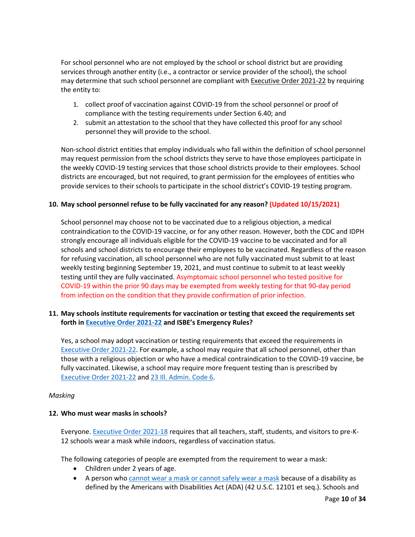For school personnel who are not employed by the school or school district but are providing services through another entity (i.e., a contractor or service provider of the school), the school may determine that such school personnel are compliant with **[Executive](https://www.illinois.gov/government/executive-orders/executive-order.executive-order-number-22.2021.html) Order 2021-22** by requiring the entity to:

- 1. collect proof of vaccination against COVID-19 from the school personnel or proof of compliance with the testing requirements under Section 6.40; and
- 2. submit an attestation to the school that they have collected this proof for any school personnel they will provide to the school.

Non-school district entities that employ individuals who fall within the definition of school personnel may request permission from the school districts they serve to have those employees participate in the weekly COVID-19 testing services that those school districts provide to their employees. School districts are encouraged, but not required, to grant permission for the employees of entities who provide services to their schools to participate in the school district's COVID-19 testing program.

# <span id="page-9-0"></span>**10. May school personnel refuse to be fully vaccinated for any reason? (Updated 10/15/2021)**

School personnel may choose not to be vaccinated due to a religious objection, a medical contraindication to the COVID-19 vaccine, or for any other reason. However, both the CDC and IDPH strongly encourage all individuals eligible for the COVID-19 vaccine to be vaccinated and for all schools and school districts to encourage their employees to be vaccinated. Regardless of the reason for refusing vaccination, all school personnel who are not fully vaccinated must submit to at least weekly testing beginning September 19, 2021, and must continue to submit to at least weekly testing until they are fully vaccinated. Asymptomaic school personnel who tested positive for COVID-19 within the prior 90 days may be exempted from weekly testing for that 90-day period from infection on the condition that they provide confirmation of prior infection.

# <span id="page-9-1"></span>**11. May schools institute requirements for vaccination or testing that exceed the requirements set forth i[n Executive Order 2021-22](https://www.illinois.gov/government/executive-orders/executive-order.executive-order-number-22.2021.html) and ISBE's Emergency Rules?**

Yes, a school may adopt vaccination or testing requirements that exceed the requirements in [Executive Order 2021-22.](https://www.illinois.gov/government/executive-orders/executive-order.executive-order-number-22.2021.html) For example, a school may require that all school personnel, other than those with a religious objection or who have a medical contraindication to the COVID-19 vaccine, be fully vaccinated. Likewise, a school may require more frequent testing than is prescribed by [Executive Order 2021-22](https://www.illinois.gov/government/executive-orders/executive-order.executive-order-number-22.2021.html) and [23 Ill. Admin. Code 6.](https://www.isbe.net/Documents/18389_23-6RG-E.pdf)

#### <span id="page-9-2"></span>*Masking*

# <span id="page-9-3"></span>**12. Who must wear masks in schools?**

Everyone. [Executive Order 2021-18](https://www.illinois.gov/government/executive-orders/executive-order.executive-order-number-18.2021.html) requires that all teachers, staff, students, and visitors to pre-K-12 schools wear a mask while indoors, regardless of vaccination status.

The following categories of people are exempted from the requirement to wear a mask:

- Children under 2 years of age.
- A person who [cannot wear a mask or cannot safely wear a mask](https://www.cdc.gov/coronavirus/2019-ncov/prevent-getting-sick/cloth-face-cover-guidance.html#anchor_1619804600020) because of a disability as defined by the Americans with Disabilities Act (ADA) (42 U.S.C. 12101 et seq.). Schools and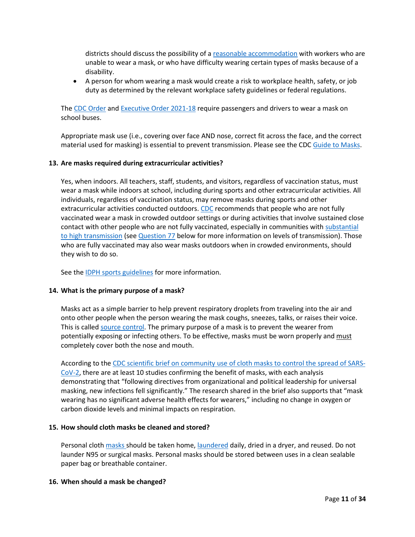districts should discuss the possibility of a [reasonable accommodation](https://www.eeoc.gov/wysk/what-you-should-know-about-covid-19-and-ada-rehabilitation-act-and-other-eeo-laws) with workers who are unable to wear a mask, or who have difficulty wearing certain types of masks because of a disability.

• A person for whom wearing a mask would create a risk to workplace health, safety, or job duty as determined by the relevant workplace safety guidelines or federal regulations.

The [CDC Order](https://www.cdc.gov/quarantine/masks/mask-travel-guidance.html) and [Executive Order 2021-18](https://www.illinois.gov/government/executive-orders/executive-order.executive-order-number-18.2021.html) require passengers and drivers to wear a mask on school buses.

Appropriate mask use (i.e., covering over face AND nose, correct fit across the face, and the correct material used for masking) is essential to prevent transmission. Please see the CDC [Guide to Masks.](https://www.cdc.gov/coronavirus/2019-ncov/prevent-getting-sick/about-face-coverings.htm)

#### <span id="page-10-0"></span>**13. Are masks required during extracurricular activities?**

Yes, when indoors. All teachers, staff, students, and visitors, regardless of vaccination status, must wear a mask while indoors at school, including during sports and other extracurricular activities. All individuals, regardless of vaccination status, may remove masks during sports and other extracurricular activities conducted outdoors. [CDC](https://www.cdc.gov/coronavirus/2019-ncov/prevent-getting-sick/about-face-coverings.html) recommends that people who are not fully vaccinated wear a mask in crowded outdoor settings or during activities that involve sustained close contact with other people who are not fully vaccinated, especially in communities with substantial to [high transmission](https://covid.cdc.gov/covid-data-tracker/#county-view) (see [Question 77](#page-32-0) below for more information on levels of transmission). Those who are fully vaccinated may also wear masks outdoors when in crowded environments, should they wish to do so.

See the [IDPH sports guidelines](https://www.dph.illinois.gov/covid19/community-guidance/sports-safety-guidance) for more information.

# <span id="page-10-1"></span>**14. What is the primary purpose of a mask?**

Masks act as a simple barrier to help prevent respiratory droplets from traveling into the air and onto other people when the person wearing the mask coughs, sneezes, talks, or raises their voice. This is called source [control.](https://www.cdc.gov/coronavirus/2019-ncov/prevent-getting-sick/cloth-face-cover-guidance.html) The primary purpose of a mask is to prevent the wearer from potentially exposing or infecting others. To be effective, masks must be worn properly and must completely cover both the nose and mouth.

According to th[e CDC scientific brief on community use of cloth masks to control the spread of SARS-](https://www.cdc.gov/coronavirus/2019-ncov/science/science-briefs/masking-science-sars-cov2.html)[CoV-2,](https://www.cdc.gov/coronavirus/2019-ncov/science/science-briefs/masking-science-sars-cov2.html) there are at least 10 studies confirming the benefit of masks, with each analysis demonstrating that "following directives from organizational and political leadership for universal masking, new infections fell significantly." The research shared in the brief also supports that "mask wearing has no significant adverse health effects for wearers," including no change in oxygen or carbon dioxide levels and minimal impacts on respiration.

#### <span id="page-10-2"></span>**15. How should cloth masks be cleaned and stored?**

Personal cloth [masks](https://www.cdc.gov/coronavirus/2019-ncov/downloads/cloth-face-coverings-information.pdf) should be taken home, [laundered](https://www.cdc.gov/coronavirus/2019-ncov/prevent-getting-sick/how-to-wash-cloth-face-coverings.html) daily, dried in a dryer, and reused. Do not launder N95 or surgical masks. Personal masks should be stored between uses in a clean sealable paper bag or breathable container.

#### <span id="page-10-3"></span>**16. When should a mask be changed?**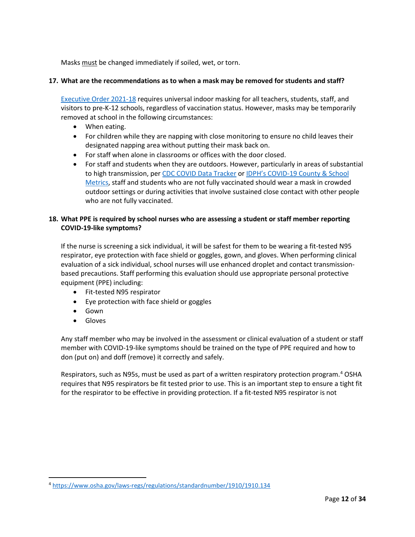Masks must be changed immediately if soiled, wet, or torn.

# <span id="page-11-0"></span>**17. What are the recommendations as to when a mask may be removed for students and staff?**

[Executive Order 2021-18](https://www.illinois.gov/government/executive-orders/executive-order.executive-order-number-18.2021.html) requires universal indoor masking for all teachers, students, staff, and visitors to pre-K-12 schools, regardless of vaccination status. However, masks may be temporarily removed at school in the following circumstances:

- When eating.
- For children while they are napping with close monitoring to ensure no child leaves their designated napping area without putting their mask back on.
- For staff when alone in classrooms or offices with the door closed.
- For staff and students when they are outdoors. However, particularly in areas of substantial to high transmission, pe[r CDC COVID Data Tracker](https://covid.cdc.gov/covid-data-tracker/#county-view) or [IDPH's COVID-19 County & School](http://dph.illinois.gov/covid19/community-guidance/school-guidance)  [Metrics,](http://dph.illinois.gov/covid19/community-guidance/school-guidance) staff and students who are not fully vaccinated should wear a mask in crowded outdoor settings or during activities that involve sustained close contact with other people who are not fully vaccinated.

# <span id="page-11-1"></span>**18. What PPE is required by school nurses who are assessing a student or staff member reporting COVID-19-like symptoms?**

If the nurse is screening a sick individual, it will be safest for them to be wearing a fit-tested N95 respirator, eye protection with face shield or goggles, gown, and gloves. When performing clinical evaluation of a sick individual, school nurses will use enhanced droplet and contact transmissionbased precautions. Staff performing this evaluation should use appropriate personal protective equipment (PPE) including:

- Fit-tested N95 respirator
- Eye protection with face shield or goggles
- Gown
- Gloves

Any staff member who may be involved in the assessment or clinical evaluation of a student or staff member with COVID-19-like symptoms should be trained on the type of PPE required and how to don (put on) and doff (remove) it correctly and safely.

Respirators, such as N95s, must be used as part of a written respiratory protection program.<sup>[4](#page-11-2)</sup> OSHA requires that N95 respirators be fit tested prior to use. This is an important step to ensure a tight fit for the respirator to be effective in providing protection. If a fit-tested N95 respirator is not

<span id="page-11-2"></span><sup>4</sup> <https://www.osha.gov/laws-regs/regulations/standardnumber/1910/1910.134>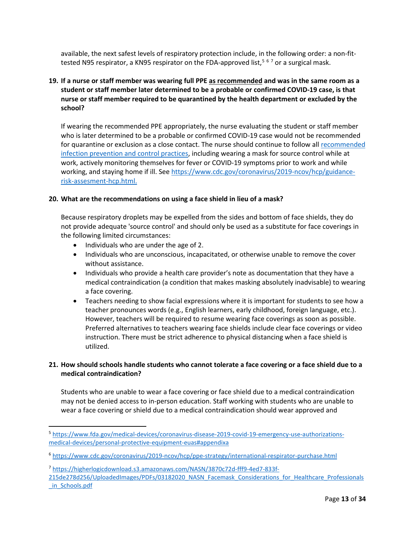available, the next safest levels of respiratory protection include, in the following order: a non-fit-tested N9[5](#page-12-3) respirator, a KN95 respirator on the FDA-approved list,<sup>5[6](#page-12-4)[7](#page-12-5)</sup> or a surgical mask.

# <span id="page-12-0"></span>**19. If a nurse or staff member was wearing full PPE as recommended and was in the same room as a student or staff member later determined to be a probable or confirmed COVID-19 case, is that nurse or staff member required to be quarantined by the health department or excluded by the school?**

If wearing the recommended PPE appropriately, the nurse evaluating the student or staff member who is later determined to be a probable or confirmed COVID-19 case would not be recommended for quarantine or exclusion as a close contact. The nurse should continue to follow all [recommended](https://www.cdc.gov/coronavirus/2019-ncov/hcp/infection-control-recommendations.html)  [infection prevention and control practices,](https://www.cdc.gov/coronavirus/2019-ncov/hcp/infection-control-recommendations.html) including wearing a mask for source control while at work, actively monitoring themselves for fever or COVID-19 symptoms prior to work and while working, and staying home if ill. Se[e https://www.cdc.gov/coronavirus/2019-ncov/hcp/guidance](https://www.cdc.gov/coronavirus/2019-ncov/hcp/guidance-risk-assesment-hcp.html)[risk-assesment-hcp.html.](https://www.cdc.gov/coronavirus/2019-ncov/hcp/guidance-risk-assesment-hcp.html)

# <span id="page-12-1"></span>**20. What are the recommendations on using a face shield in lieu of a mask?**

Because respiratory droplets may be expelled from the sides and bottom of face shields, they do not provide adequate 'source control' and should only be used as a substitute for face coverings in the following limited circumstances:

- Individuals who are under the age of 2.
- Individuals who are unconscious, incapacitated, or otherwise unable to remove the cover without assistance.
- Individuals who provide a health care provider's note as documentation that they have a medical contraindication (a condition that makes masking absolutely inadvisable) to wearing a face covering.
- Teachers needing to show facial expressions where it is important for students to see how a teacher pronounces words (e.g., English learners, early childhood, foreign language, etc.). However, teachers will be required to resume wearing face coverings as soon as possible. Preferred alternatives to teachers wearing face shields include clear face coverings or video instruction. There must be strict adherence to physical distancing when a face shield is utilized.

# <span id="page-12-2"></span>**21. How should schools handle students who cannot tolerate a face covering or a face shield due to a medical contraindication?**

Students who are unable to wear a face covering or face shield due to a medical contraindication may not be denied access to in-person education. Staff working with students who are unable to wear a face covering or shield due to a medical contraindication should wear approved and

<span id="page-12-3"></span><sup>5</sup> [https://www.fda.gov/medical-devices/coronavirus-disease-2019-covid-19-emergency-use-authorizations](https://www.fda.gov/medical-devices/coronavirus-disease-2019-covid-19-emergency-use-authorizations-medical-devices/personal-protective-equipment-euas#appendixa)[medical-devices/personal-protective-equipment-euas#appendixa](https://www.fda.gov/medical-devices/coronavirus-disease-2019-covid-19-emergency-use-authorizations-medical-devices/personal-protective-equipment-euas#appendixa)

<span id="page-12-4"></span><sup>6</sup> <https://www.cdc.gov/coronavirus/2019-ncov/hcp/ppe-strategy/international-respirator-purchase.html>

<span id="page-12-5"></span><sup>7</sup> [https://higherlogicdownload.s3.amazonaws.com/NASN/3870c72d-fff9-4ed7-833f-](https://higherlogicdownload.s3.amazonaws.com/NASN/3870c72d-fff9-4ed7-833f-215de278d256/UploadedImages/PDFs/03182020_NASN_Facemask_Considerations_for_Healthcare_Professionals_in_Schools.pdf)

[<sup>215</sup>de278d256/UploadedImages/PDFs/03182020\\_NASN\\_Facemask\\_Considerations\\_for\\_Healthcare\\_Professionals](https://higherlogicdownload.s3.amazonaws.com/NASN/3870c72d-fff9-4ed7-833f-215de278d256/UploadedImages/PDFs/03182020_NASN_Facemask_Considerations_for_Healthcare_Professionals_in_Schools.pdf) [\\_in\\_Schools.pdf](https://higherlogicdownload.s3.amazonaws.com/NASN/3870c72d-fff9-4ed7-833f-215de278d256/UploadedImages/PDFs/03182020_NASN_Facemask_Considerations_for_Healthcare_Professionals_in_Schools.pdf)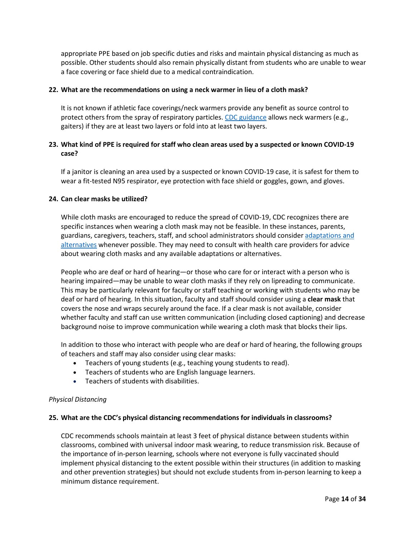appropriate PPE based on job specific duties and risks and maintain physical distancing as much as possible. Other students should also remain physically distant from students who are unable to wear a face covering or face shield due to a medical contraindication.

#### <span id="page-13-0"></span>**22. What are the recommendations on using a neck warmer in lieu of a cloth mask?**

It is not known if athletic face coverings/neck warmers provide any benefit as source control to protect others from the spray of respiratory particles. [CDC guidance](https://www.cdc.gov/coronavirus/2019-ncov/prevent-getting-sick/about-face-coverings.html) allows neck warmers (e.g., gaiters) if they are at least two layers or fold into at least two layers.

# <span id="page-13-1"></span>**23. What kind of PPE is required for staff who clean areas used by a suspected or known COVID-19 case?**

If a janitor is cleaning an area used by a suspected or known COVID-19 case, it is safest for them to wear a fit-tested N95 respirator, eye protection with face shield or goggles, gown, and gloves.

#### <span id="page-13-2"></span>**24. Can clear masks be utilized?**

While cloth masks are encouraged to reduce the spread of COVID-19, CDC recognizes there are specific instances when wearing a cloth mask may not be feasible. In these instances, parents, guardians, caregivers, teachers, staff, and school administrators should consider [adaptations and](https://www.cdc.gov/coronavirus/2019-ncov/prevent-getting-sick/cloth-face-cover-guidance.html#feasibility-adaptations) [alternatives](https://www.cdc.gov/coronavirus/2019-ncov/prevent-getting-sick/cloth-face-cover-guidance.html#feasibility-adaptations) whenever possible. They may need to consult with health care providers for advice about wearing cloth masks and any available adaptations or alternatives.

People who are deaf or hard of hearing—or those who care for or interact with a person who is hearing impaired—may be unable to wear cloth masks if they rely on lipreading to communicate. This may be particularly relevant for faculty or staff teaching or working with students who may be deaf or hard of hearing. In this situation, faculty and staff should consider using a **clear mask** that covers the nose and wraps securely around the face. If a clear mask is not available, consider whether faculty and staff can use written communication (including closed captioning) and decrease background noise to improve communication while wearing a cloth mask that blocks their lips.

In addition to those who interact with people who are deaf or hard of hearing, the following groups of teachers and staff may also consider using clear masks:

- Teachers of young students (e.g., teaching young students to read).
- Teachers of students who are English language learners.
- Teachers of students with disabilities.

#### <span id="page-13-3"></span>*Physical Distancing*

#### <span id="page-13-4"></span>**25. What are the CDC's physical distancing recommendations for individuals in classrooms?**

CDC recommends schools maintain at least 3 feet of physical distance between students within classrooms, combined with universal indoor mask wearing, to reduce transmission risk. Because of the importance of in-person learning, schools where not everyone is fully vaccinated should implement physical distancing to the extent possible within their structures (in addition to masking and other prevention strategies) but should not exclude students from in-person learning to keep a minimum distance requirement.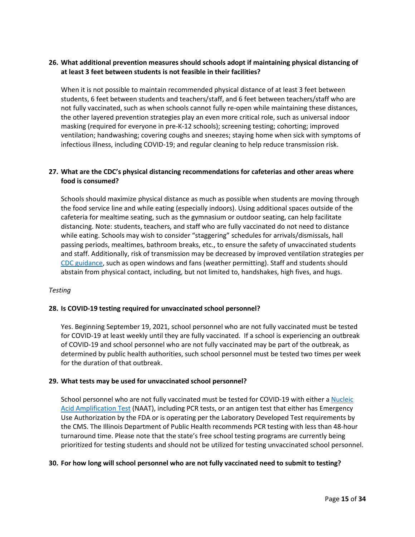# <span id="page-14-0"></span>**26. What additional prevention measures should schools adopt if maintaining physical distancing of at least 3 feet between students is not feasible in their facilities?**

When it is not possible to maintain recommended physical distance of at least 3 feet between students, 6 feet between students and teachers/staff, and 6 feet between teachers/staff who are not fully vaccinated, such as when schools cannot fully re-open while maintaining these distances, the other layered prevention strategies play an even more critical role, such as universal indoor masking (required for everyone in pre-K-12 schools); screening testing; cohorting; improved ventilation; handwashing; covering coughs and sneezes; staying home when sick with symptoms of infectious illness, including COVID-19; and regular cleaning to help reduce transmission risk.

# <span id="page-14-1"></span>**27. What are the CDC's physical distancing recommendations for cafeterias and other areas where food is consumed?**

Schools should maximize physical distance as much as possible when students are moving through the food service line and while eating (especially indoors). Using additional spaces outside of the cafeteria for mealtime seating, such as the gymnasium or outdoor seating, can help facilitate distancing. Note: students, teachers, and staff who are fully vaccinated do not need to distance while eating. Schools may wish to consider "staggering" schedules for arrivals/dismissals, hall passing periods, mealtimes, bathroom breaks, etc., to ensure the safety of unvaccinated students and staff. Additionally, risk of transmission may be decreased by improved ventilation strategies per [CDC guidance,](https://www.cdc.gov/coronavirus/2019-ncov/community/schools-childcare/ventilation.html) such as open windows and fans (weather permitting). Staff and students should abstain from physical contact, including, but not limited to, handshakes, high fives, and hugs.

# <span id="page-14-2"></span>*Testing*

# <span id="page-14-3"></span>**28. Is COVID-19 testing required for unvaccinated school personnel?**

Yes. Beginning September 19, 2021, school personnel who are not fully vaccinated must be tested for COVID-19 at least weekly until they are fully vaccinated. If a school is experiencing an outbreak of COVID-19 and school personnel who are not fully vaccinated may be part of the outbreak, as determined by public health authorities, such school personnel must be tested two times per week for the duration of that outbreak.

#### <span id="page-14-4"></span>**29. What tests may be used for unvaccinated school personnel?**

School personnel who are not fully vaccinated must be tested for COVID-19 with either [a Nucleic](https://www.cdc.gov/coronavirus/2019-ncov/lab/naats.html)  [Acid Amplification Test](https://www.cdc.gov/coronavirus/2019-ncov/lab/naats.html) (NAAT), including PCR tests, or an antigen test that either has Emergency Use Authorization by the FDA or is operating per the Laboratory Developed Test requirements by the CMS. The Illinois Department of Public Health recommends PCR testing with less than 48-hour turnaround time. Please note that the state's free school testing programs are currently being prioritized for testing students and should not be utilized for testing unvaccinated school personnel.

#### <span id="page-14-5"></span>**30. For how long will school personnel who are not fully vaccinated need to submit to testing?**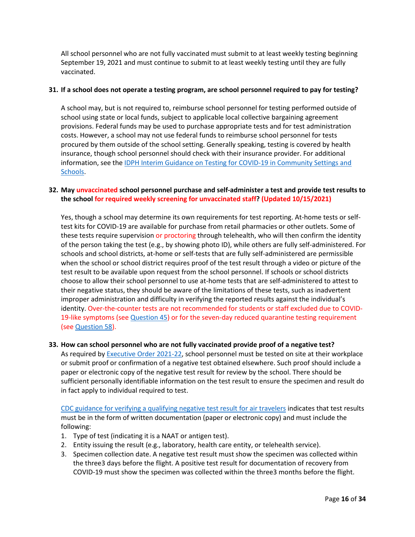All school personnel who are not fully vaccinated must submit to at least weekly testing beginning September 19, 2021 and must continue to submit to at least weekly testing until they are fully vaccinated.

# <span id="page-15-0"></span>**31. If a school does not operate a testing program, are school personnel required to pay for testing?**

A school may, but is not required to, reimburse school personnel for testing performed outside of school using state or local funds, subject to applicable local collective bargaining agreement provisions. Federal funds may be used to purchase appropriate tests and for test administration costs. However, a school may not use federal funds to reimburse school personnel for tests procured by them outside of the school setting. Generally speaking, testing is covered by health insurance, though school personnel should check with their insurance provider. For additional information, see th[e IDPH Interim Guidance on Testing for COVID-19 in Community Settings and](https://www.dph.illinois.gov/covid19/community-guidance/rapid-point-care-testing-covid-19)  [Schools.](https://www.dph.illinois.gov/covid19/community-guidance/rapid-point-care-testing-covid-19)

# <span id="page-15-1"></span>**32. May unvaccinated school personnel purchase and self-administer a test and provide test results to the school for required weekly screening for unvaccinated staff? (Updated 10/15/2021)**

Yes, though a school may determine its own requirements for test reporting. At-home tests or selftest kits for COVID-19 are available for purchase from retail pharmacies or other outlets. Some of these tests require supervision or proctoring through telehealth, who will then confirm the identity of the person taking the test (e.g., by showing photo ID), while others are fully self-administered. For schools and school districts, at-home or self-tests that are fully self-administered are permissible when the school or school district requires proof of the test result through a video or picture of the test result to be available upon request from the school personnel. If schools or school districts choose to allow their school personnel to use at-home tests that are self-administered to attest to their negative status, they should be aware of the limitations of these tests, such as inadvertent improper administration and difficulty in verifying the reported results against the individual's identity. Over-the-counter tests are not recommended for students or staff excluded due to COVID-19-like symptoms (se[e Question](#page-19-3) 45) or for the seven-day reduced quarantine testing requirement (see [Question 58\)](#page-24-0).

# <span id="page-15-2"></span>**33. How can school personnel who are not fully vaccinated provide proof of a negative test?**

As required by [Executive Order 2021-22,](https://www.illinois.gov/government/executive-orders/executive-order.executive-order-number-22.2021.html) school personnel must be tested on site at their workplace or submit proof or confirmation of a negative test obtained elsewhere. Such proof should include a paper or electronic copy of the negative test result for review by the school. There should be sufficient personally identifiable information on the test result to ensure the specimen and result do in fact apply to individual required to test.

CDC guidance [for verifying a qualifying negative test result for air travelers](https://www.cdc.gov/coronavirus/2019-ncov/travelers/testing-international-air-travelers.html) indicates that test results must be in the form of written documentation (paper or electronic copy) and must include the following:

- 1. Type of test (indicating it is a NAAT or antigen test).
- 2. Entity issuing the result (e.g., laboratory, health care entity, or telehealth service).
- 3. Specimen collection date. A negative test result must show the specimen was collected within the three3 days before the flight. A positive test result for documentation of recovery from COVID-19 must show the specimen was collected within the three3 months before the flight.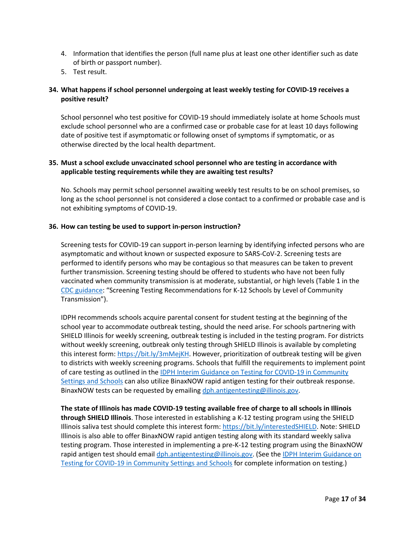- 4. Information that identifies the person (full name plus at least one other identifier such as date of birth or passport number).
- 5. Test result.

# <span id="page-16-0"></span>**34. What happens if school personnel undergoing at least weekly testing for COVID-19 receives a positive result?**

School personnel who test positive for COVID-19 should immediately isolate at home Schools must exclude school personnel who are a confirmed case or probable case for at least 10 days following date of positive test if asymptomatic or following onset of symptoms if symptomatic, or as otherwise directed by the local health department.

# <span id="page-16-1"></span>**35. Must a school exclude unvaccinated school personnel who are testing in accordance with applicable testing requirements while they are awaiting test results?**

No. Schools may permit school personnel awaiting weekly test results to be on school premises, so long as the school personnel is not considered a close contact to a confirmed or probable case and is not exhibiting symptoms of COVID-19.

# <span id="page-16-2"></span>**36. How can testing be used to support in-person instruction?**

Screening tests for COVID-19 can support in-person learning by identifying infected persons who are asymptomatic and without known or suspected exposure to SARS-CoV-2. Screening tests are performed to identify persons who may be contagious so that measures can be taken to prevent further transmission. Screening testing should be offered to students who have not been fully vaccinated when community transmission is at moderate, substantial, or high levels (Table 1 in the [CDC guidance:](https://www.cdc.gov/coronavirus/2019-ncov/community/schools-childcare/k-12-guidance.html) "Screening Testing Recommendations for K-12 Schools by Level of Community Transmission").

IDPH recommends schools acquire parental consent for student testing at the beginning of the school year to accommodate outbreak testing, should the need arise. For schools partnering with SHIELD Illinois for weekly screening, outbreak testing is included in the testing program. For districts without weekly screening, outbreak only testing through SHIELD Illinois is available by completing this interest form: [https://bit.ly/3mMejKH.](https://bit.ly/3mMejKH) However, prioritization of outbreak testing will be given to districts with weekly screening programs. Schools that fulfill the requirements to implement point of care testing as outlined in th[e IDPH Interim Guidance on Testing for COVID-19 in Community](https://www.dph.illinois.gov/covid19/community-guidance/rapid-point-care-testing-covid-19)  [Settings and Schools](https://www.dph.illinois.gov/covid19/community-guidance/rapid-point-care-testing-covid-19) can also utilize BinaxNOW rapid antigen testing for their outbreak response. BinaxNOW tests can be requested by emailin[g dph.antigentesting@illinois.gov.](mailto:dph.antigentesting@illinois.gov)

**The state of Illinois has made COVID-19 testing available free of charge to all schools in Illinois through SHIELD Illinois**. Those interested in establishing a K-12 testing program using the SHIELD Illinois saliva test should complete this interest form[: https://bit.ly/interestedSHIELD.](https://bit.ly/interestedSHIELD) Note: SHIELD Illinois is also able to offer BinaxNOW rapid antigen testing along with its standard weekly saliva testing program. Those interested in implementing a pre-K-12 testing program using the BinaxNOW rapid antigen test should email [dph.antigentesting@illinois.gov.](mailto:dph.antigentesting@illinois.gov) (See the IDPH Interim Guidance on [Testing for COVID-19 in Community Settings and Schools](https://www.dph.illinois.gov/covid19/community-guidance/rapid-point-care-testing-covid-19) for complete information on testing.)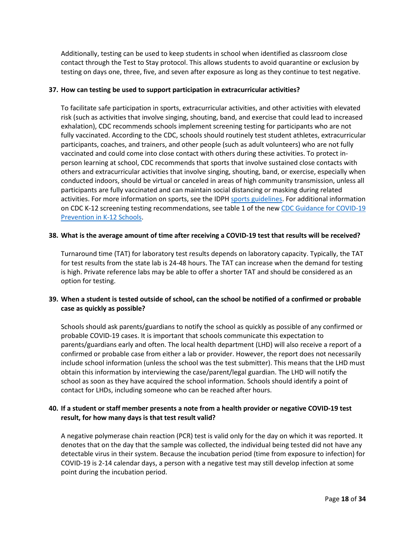Additionally, testing can be used to keep students in school when identified as classroom close contact through the Test to Stay protocol. This allows students to avoid quarantine or exclusion by testing on days one, three, five, and seven after exposure as long as they continue to test negative.

# <span id="page-17-0"></span>**37. How can testing be used to support participation in extracurricular activities?**

To facilitate safe participation in sports, extracurricular activities, and other activities with elevated risk (such as activities that involve singing, shouting, band, and exercise that could lead to increased exhalation), CDC recommends schools implement screening testing for participants who are not fully vaccinated. According to the CDC, schools should routinely test student athletes, extracurricular participants, coaches, and trainers, and other people (such as adult volunteers) who are not fully vaccinated and could come into close contact with others during these activities. To protect inperson learning at school, CDC recommends that sports that involve sustained close contacts with others and extracurricular activities that involve singing, shouting, band, or exercise, especially when conducted indoors, should be virtual or canceled in areas of high community transmission, unless all participants are fully vaccinated and can maintain social distancing or masking during related activities. For more information on sports, see the IDPH [sports guidelines.](https://www.dph.illinois.gov/covid19/community-guidance/sports-safety-guidance) For additional information on CDC K-12 screening testing recommendations, see table 1 of the new [CDC Guidance for COVID-19](https://www.cdc.gov/coronavirus/2019-ncov/community/schools-childcare/k-12-guidance.html)  [Prevention in K-12 Schools.](https://www.cdc.gov/coronavirus/2019-ncov/community/schools-childcare/k-12-guidance.html)

#### <span id="page-17-1"></span>**38. What is the average amount of time after receiving a COVID-19 test that results will be received?**

Turnaround time (TAT) for laboratory test results depends on laboratory capacity. Typically, the TAT for test results from the state lab is 24-48 hours. The TAT can increase when the demand for testing is high. Private reference labs may be able to offer a shorter TAT and should be considered as an option for testing.

# <span id="page-17-2"></span>**39. When a student is tested outside of school, can the school be notified of a confirmed or probable case as quickly as possible?**

Schools should ask parents/guardians to notify the school as quickly as possible of any confirmed or probable COVID-19 cases. It is important that schools communicate this expectation to parents/guardians early and often. The local health department (LHD) will also receive a report of a confirmed or probable case from either a lab or provider. However, the report does not necessarily include school information (unless the school was the test submitter). This means that the LHD must obtain this information by interviewing the case/parent/legal guardian. The LHD will notify the school as soon as they have acquired the school information. Schools should identify a point of contact for LHDs, including someone who can be reached after hours.

# <span id="page-17-3"></span>**40. If a student or staff member presents a note from a health provider or negative COVID-19 test result, for how many days is that test result valid?**

A negative polymerase chain reaction (PCR) test is valid only for the day on which it was reported. It denotes that on the day that the sample was collected, the individual being tested did not have any detectable virus in their system. Because the incubation period (time from exposure to infection) for COVID-19 is 2-14 calendar days, a person with a negative test may still develop infection at some point during the incubation period.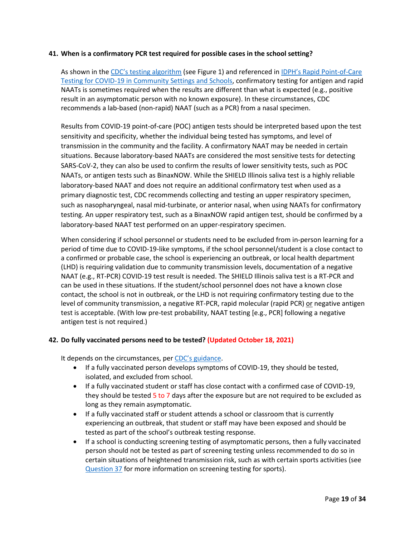#### <span id="page-18-0"></span>**41. When is a confirmatory PCR test required for possible cases in the school setting?**

As shown in th[e CDC's testing algorithm](https://www.cdc.gov/coronavirus/2019-ncov/lab/resources/antigen-tests-guidelines.html) (see Figure 1) and referenced in [IDPH's Rapid Point-of-Care](https://www.dph.illinois.gov/covid19/community-guidance/rapid-point-care-testing-covid-19)  [Testing for COVID-19 in Community Settings and Schools,](https://www.dph.illinois.gov/covid19/community-guidance/rapid-point-care-testing-covid-19) confirmatory testing for antigen and rapid NAATs is sometimes required when the results are different than what is expected (e.g., positive result in an asymptomatic person with no known exposure). In these circumstances, CDC recommends a lab-based (non-rapid) NAAT (such as a PCR) from a nasal specimen.

Results from COVID-19 point-of-care (POC) antigen tests should be interpreted based upon the test sensitivity and specificity, whether the individual being tested has symptoms, and level of transmission in the community and the facility. A confirmatory NAAT may be needed in certain situations. Because laboratory-based NAATs are considered the most sensitive tests for detecting SARS-CoV-2, they can also be used to confirm the results of lower sensitivity tests, such as POC NAATs, or antigen tests such as BinaxNOW. While the SHIELD Illinois saliva test is a highly reliable laboratory-based NAAT and does not require an additional confirmatory test when used as a primary diagnostic test, CDC recommends collecting and testing an upper respiratory specimen, such as nasopharyngeal, nasal mid-turbinate, or anterior nasal, when using NAATs for confirmatory testing. An upper respiratory test, such as a BinaxNOW rapid antigen test, should be confirmed by a laboratory-based NAAT test performed on an upper-respiratory specimen.

When considering if school personnel or students need to be excluded from in-person learning for a period of time due to COVID-19-like symptoms, if the school personnel/student is a close contact to a confirmed or probable case, the school is experiencing an outbreak, or local health department (LHD) is requiring validation due to community transmission levels, documentation of a negative NAAT (e.g., RT-PCR) COVID-19 test result is needed. The SHIELD Illinois saliva test is a RT-PCR and can be used in these situations. If the student/school personnel does not have a known close contact, the school is not in outbreak, or the LHD is not requiring confirmatory testing due to the level of community transmission, a negative RT-PCR, rapid molecular (rapid PCR) or negative antigen test is acceptable. (With low pre-test probability, NAAT testing [e.g., PCR] following a negative antigen test is not required.)

# <span id="page-18-1"></span>**42. Do fully vaccinated persons need to be tested? (Updated October 18, 2021)**

It depends on the circumstances, per [CDC's guidance.](https://www.cdc.gov/coronavirus/2019-ncov/vaccines/fully-vaccinated-guidance.html)

- If a fully vaccinated person develops symptoms of COVID-19, they should be tested, isolated, and excluded from school.
- If a fully vaccinated student or staff has close contact with a confirmed case of COVID-19, they should be tested 5 to 7 days after the exposure but are not required to be excluded as long as they remain asymptomatic.
- If a fully vaccinated staff or student attends a school or classroom that is currently experiencing an outbreak, that student or staff may have been exposed and should be tested as part of the school's outbreak testing response.
- If a school is conducting screening testing of asymptomatic persons, then a fully vaccinated person should not be tested as part of screening testing unless recommended to do so in certain situations of heightened transmission risk, such as with certain sports activities (see [Question](#page-17-0) 37 for more information on screening testing for sports).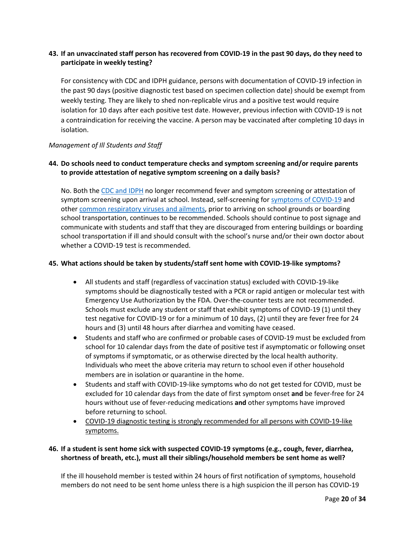# <span id="page-19-0"></span>**43. If an unvaccinated staff person has recovered from COVID-19 in the past 90 days, do they need to participate in weekly testing?**

For consistency with CDC and IDPH guidance, persons with documentation of COVID-19 infection in the past 90 days (positive diagnostic test based on specimen collection date) should be exempt from weekly testing. They are likely to shed non-replicable virus and a positive test would require isolation for 10 days after each positive test date. However, previous infection with COVID-19 is not a contraindication for receiving the vaccine. A person may be vaccinated after completing 10 days in isolation.

# <span id="page-19-1"></span>*Management of Ill Students and Staff*

# <span id="page-19-2"></span>**44. Do schools need to conduct temperature checks and symptom screening and/or require parents to provide attestation of negative symptom screening on a daily basis?**

No. Both the [CDC and IDPH](https://www.cdc.gov/coronavirus/2019-ncov/community/schools-childcare/operation-strategy.html?CDC_AA_refVal=https%3A%2F%2Fwww.cdc.gov%2Fcoronavirus%2F2019-ncov%2Fcommunity%2Fschools-childcare%2Fk-12-testing.html) no longer recommend fever and symptom screening or attestation of symptom screening upon arrival at school. Instead, self-screening for [symptoms of COVID-19](https://www.cdc.gov/coronavirus/2019-ncov/symptoms-testing/symptoms.html) and other [common respiratory viruses and ailments,](https://www.cdc.gov/coronavirus/2019-ncov/downloads/community/schools-childcare/COVID19-symptoms-tablegraphic-v1.pdf) prior to arriving on school grounds or boarding school transportation, continues to be recommended. Schools should continue to post signage and communicate with students and staff that they are discouraged from entering buildings or boarding school transportation if ill and should consult with the school's nurse and/or their own doctor about whether a COVID-19 test is recommended.

# <span id="page-19-3"></span>**45. What actions should be taken by students/staff sent home with COVID-19-like symptoms?**

- All students and staff (regardless of vaccination status) excluded with COVID-19-like symptoms should be diagnostically tested with a PCR or rapid antigen or molecular test with Emergency Use Authorization by the FDA. Over-the-counter tests are not recommended. Schools must exclude any student or staff that exhibit symptoms of COVID-19 (1) until they test negative for COVID-19 or for a minimum of 10 days, (2) until they are fever free for 24 hours and (3) until 48 hours after diarrhea and vomiting have ceased.
- Students and staff who are confirmed or probable cases of COVID-19 must be excluded from school for 10 calendar days from the date of positive test if asymptomatic or following onset of symptoms if symptomatic, or as otherwise directed by the local health authority. Individuals who meet the above criteria may return to school even if other household members are in isolation or quarantine in the home.
- Students and staff with COVID-19-like symptoms who do not get tested for COVID, must be excluded for 10 calendar days from the date of first symptom onset **and** be fever-free for 24 hours without use of fever-reducing medications **and** other symptoms have improved before returning to school.
- COVID-19 diagnostic testing is strongly recommended for all persons with COVID-19-like symptoms.

# <span id="page-19-4"></span>**46. If a student is sent home sick with suspected COVID-19 symptoms (e.g., cough, fever, diarrhea, shortness of breath, etc.), must all their siblings/household members be sent home as well?**

If the ill household member is tested within 24 hours of first notification of symptoms, household members do not need to be sent home unless there is a high suspicion the ill person has COVID-19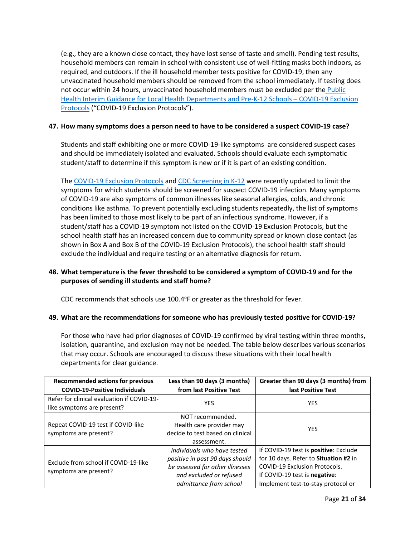(e.g., they are a known close contact, they have lost sense of taste and smell). Pending test results, household members can remain in school with consistent use of well-fitting masks both indoors, as required, and outdoors. If the ill household member tests positive for COVID-19, then any unvaccinated household members should be removed from the school immediately. If testing does not occur within 24 hours, unvaccinated household members must be excluded per the [Public](https://www.isbe.net/Documents/P-12-COVID-19-Exclusion-Protocols.pdf)  [Health Interim Guidance for Local Health Departments and Pre-K-12 Schools –](https://www.isbe.net/Documents/P-12-COVID-19-Exclusion-Protocols.pdf) COVID-19 Exclusion [Protocols](https://www.isbe.net/Documents/P-12-COVID-19-Exclusion-Protocols.pdf) ("COVID-19 Exclusion Protocols").

# <span id="page-20-0"></span>**47. How many symptoms does a person need to have to be considered a suspect COVID-19 case?**

Students and staff exhibiting one or more [COVID-19-like symptoms](https://www.cdc.gov/coronavirus/2019-ncov/hcp/pediatric-hcp.html) are considered suspect cases and should be immediately isolated and evaluated. Schools should evaluate each symptomatic student/staff to determine if this symptom is new or if it is part of an existing condition.

The [COVID-19 Exclusion Protocols](https://www.isbe.net/Documents/P-12-COVID-19-Exclusion-Protocols.pdf) and [CDC Screening in K-12](https://www.cdc.gov/coronavirus/2019-ncov/community/schools-childcare/symptom-screening.html) were recently updated to limit the symptoms for which students should be screened for suspect COVID-19 infection. Many symptoms of COVID-19 are also symptoms of common illnesses like seasonal allergies, colds, and chronic conditions like asthma. To prevent potentially excluding students repeatedly, the list of symptoms has been limited to those most likely to be part of an infectious syndrome. However, if a student/staff has a COVID-19 symptom not listed on the COVID-19 Exclusion Protocols, but the school health staff has an increased concern due to community spread or known close contact (as shown in Box A and Box B of the COVID-19 Exclusion Protocols), the school health staff should exclude the individual and require testing or an alternative diagnosis for return.

# <span id="page-20-1"></span>**48. What temperature is the fever threshold to be considered a symptom of COVID-19 and for the purposes of sending ill students and staff home?**

CDC recommends that schools use 100.4°F or greater as the threshold for fever.

# <span id="page-20-2"></span>**49. What are the recommendations for someone who has previously tested positive for COVID-19?**

For those who have had prior diagnoses of COVID-19 confirmed by viral testing within three months, isolation, quarantine, and exclusion may not be needed. The table below describes various scenarios that may occur. Schools are encouraged to discuss these situations with their local health departments for clear guidance.

| <b>Recommended actions for previous</b><br><b>COVID-19-Positive Individuals</b> | Less than 90 days (3 months)<br>from last Positive Test                                                                                                | Greater than 90 days (3 months) from<br>last Positive Test                                                                                                                                    |  |
|---------------------------------------------------------------------------------|--------------------------------------------------------------------------------------------------------------------------------------------------------|-----------------------------------------------------------------------------------------------------------------------------------------------------------------------------------------------|--|
| Refer for clinical evaluation if COVID-19-<br>like symptoms are present?        | <b>YES</b>                                                                                                                                             | <b>YES</b>                                                                                                                                                                                    |  |
| Repeat COVID-19 test if COVID-like<br>symptoms are present?                     | NOT recommended.<br>Health care provider may<br>decide to test based on clinical<br>assessment.                                                        | <b>YES</b>                                                                                                                                                                                    |  |
| Exclude from school if COVID-19-like<br>symptoms are present?                   | Individuals who have tested<br>positive in past 90 days should<br>be assessed for other illnesses<br>and excluded or refused<br>admittance from school | If COVID-19 test is positive: Exclude<br>for 10 days. Refer to Situation #2 in<br><b>COVID-19 Exclusion Protocols.</b><br>If COVID-19 test is negative:<br>Implement test-to-stay protocol or |  |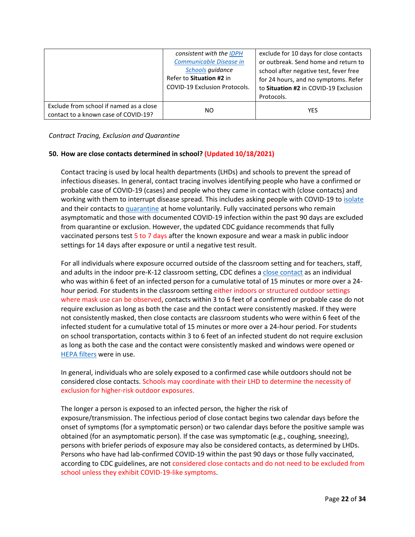|                                                                                 | consistent with the IDPH<br>Communicable Disease in<br>Schools quidance<br>Refer to Situation #2 in<br><b>COVID-19 Exclusion Protocols.</b> | exclude for 10 days for close contacts<br>or outbreak. Send home and return to<br>school after negative test, fever free<br>for 24 hours, and no symptoms. Refer<br>to Situation #2 in COVID-19 Exclusion<br>Protocols. |
|---------------------------------------------------------------------------------|---------------------------------------------------------------------------------------------------------------------------------------------|-------------------------------------------------------------------------------------------------------------------------------------------------------------------------------------------------------------------------|
| Exclude from school if named as a close<br>contact to a known case of COVID-19? | NO.                                                                                                                                         | <b>YES</b>                                                                                                                                                                                                              |

<span id="page-21-0"></span>*Contract Tracing, Exclusion and Quarantine*

# <span id="page-21-1"></span>**50. How are close contacts determined in school? (Updated 10/18/2021)**

Contact tracing is used by local health departments (LHDs) and schools to prevent the spread of infectious diseases. In general, contact tracing involves identifying people who have a confirmed or probable case of COVID-19 (cases) and people who they came in contact with (close contacts) and working with them to interrupt disease spread. This includes asking people with COVID-19 to [isolate](https://www.cdc.gov/coronavirus/2019-ncov/if-you-are-sick/quarantine.html) and their contacts to [quarantine](https://www.cdc.gov/coronavirus/2019-ncov/if-you-are-sick/quarantine.html) at home voluntarily. Fully vaccinated persons who remain asymptomatic and those with documented COVID-19 infection within the past 90 days are excluded from quarantine or exclusion. However, the updated CDC guidance recommends that fully vaccinated persons test 5 to 7 days after the known exposure and wear a mask in public indoor settings for 14 days after exposure or until a negative test result.

For all individuals where exposure occurred outside of the classroom setting and for teachers, staff, and adults in the indoor pre-K-12 classroom setting, CDC defines a [close contact](https://www.cdc.gov/coronavirus/2019-ncov/php/contact-tracing/contact-tracing-plan/appendix.html#contact) as an individual who was within 6 feet of an infected person for a cumulative total of 15 minutes or more over a 24 hour period. For students in the classroom setting either indoors or structured outdoor settings where mask use can be observed, contacts within 3 to 6 feet of a confirmed or probable case do not require exclusion as long as both the case and the contact were consistently masked. If they were not consistently masked, then close contacts are classroom students who were within 6 feet of the infected student for a cumulative total of 15 minutes or more over a 24-hour period. For students on school transportation, contacts within 3 to 6 feet of an infected student do not require exclusion as long as both the case and the contact were consistently masked and windows were opened or [HEPA filters](https://www.cdc.gov/coronavirus/2019-ncov/community/schools-childcare/k-12-staff.html#engineering-controls) were in use.

In general, individuals who are solely exposed to a confirmed case while outdoors should not be considered close contacts. Schools may coordinate with their LHD to determine the necessity of exclusion for higher-risk outdoor exposures.

The longer a person is exposed to an infected person, the higher the risk of exposure/transmission. The infectious period of close contact begins two calendar days before the onset of symptoms (for a symptomatic person) or two calendar days before the positive sample was obtained (for an asymptomatic person). If the case was symptomatic (e.g., coughing, sneezing), persons with briefer periods of exposure may also be considered contacts, as determined by LHDs. Persons who have had lab-confirmed COVID-19 within the past 90 days or those fully vaccinated, according to CDC guidelines, are not considered close contacts and do not need to be excluded from school unless they exhibit COVID-19-like symptoms.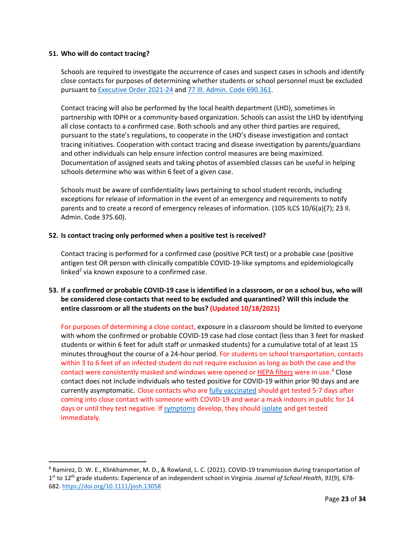#### <span id="page-22-0"></span>**51. Who will do contact tracing?**

Schools are required to investigate the occurrence of cases and suspect cases in schools and identify close contacts for purposes of determining whether students or school personnel must be excluded pursuant t[o Executive Order 2021-24](https://www.illinois.gov/government/executive-orders/executive-order.executive-order-number-24.2021.html) and [77 Ill. Admin. Code 690.361.](https://www.ilga.gov/commission/jcar/admincode/077/077006900D03610R.html)

Contact tracing will also be performed by the local health department (LHD), sometimes in partnership with IDPH or a community-based organization. Schools can assist the LHD by identifying all close contacts to a confirmed case. Both schools and any other third parties are required, pursuant to the state's regulations, to cooperate in the LHD's disease investigation and contact tracing initiatives. Cooperation with contact tracing and disease investigation by parents/guardians and other individuals can help ensure infection control measures are being maximized. Documentation of assigned seats and taking photos of assembled classes can be useful in helping schools determine who was within 6 feet of a given case.

Schools must be aware of confidentiality laws pertaining to school student records, including exceptions for release of information in the event of an emergency and requirements to notify parents and to create a record of emergency releases of information. (105 ILCS 10/6(a)(7); 23 II. Admin. Code 375.60).

# <span id="page-22-1"></span>**52. Is contact tracing only performed when a positive test is received?**

Contact tracing is performed for a confirmed case (positive PCR test) or a probable case (positive antigen test OR person with clinically compatible COVID-19-like symptoms and epidemiologically linked<sup>2</sup> via known exposure to a confirmed case.

# <span id="page-22-2"></span>**53. If a confirmed or probable COVID-19 case is identified in a classroom, or on a school bus, who will be considered close contacts that need to be excluded and quarantined? Will this include the entire classroom or all the students on the bus? (Updated 10/18/2021)**

For purposes of determining a close contact, exposure in a classroom should be limited to everyone with whom the confirmed or probable COVID-19 case had close contact (less than 3 feet for masked students or within 6 feet for adult staff or unmasked students) for a cumulative total of at least 15 minutes throughout the course of a 24-hour period. For students on school transportation, contacts within 3 to 6 feet of an infected student do not require exclusion as long as both the case and the contact were consistently masked and windows were opened o[r HEPA filters](https://www.cdc.gov/coronavirus/2019-ncov/community/schools-childcare/k-12-staff.html#engineering-controls) were in use.<sup>8</sup> Close contact does not include individuals who tested positive for COVID-19 within prior 90 days and are currently asymptomatic. Close contacts who are [fully vaccinated](https://www.cdc.gov/coronavirus/2019-ncov/vaccines/fully-vaccinated.html#vaccinated) should get tested 5-7 days after coming into close contact with someone with COVID-19 and wear a mask indoors in public for 14 days or until they test negative. If [symptoms](https://www.cdc.gov/coronavirus/2019-ncov/symptoms-testing/symptoms.html) develop, they should [isolate](https://www.cdc.gov/coronavirus/2019-ncov/your-health/quarantine-isolation.html) and get tested immediately.

<span id="page-22-3"></span><sup>8</sup> Ramirez, D. W. E., Klinkhammer, M. D., & Rowland, L. C. (2021). COVID-19 transmission during transportation of 1st to 12th grade students: Experience of an independent school in Virginia. *Journal of School Health*, *91*(9), 678- 682.<https://doi.org/10.1111/josh.13058>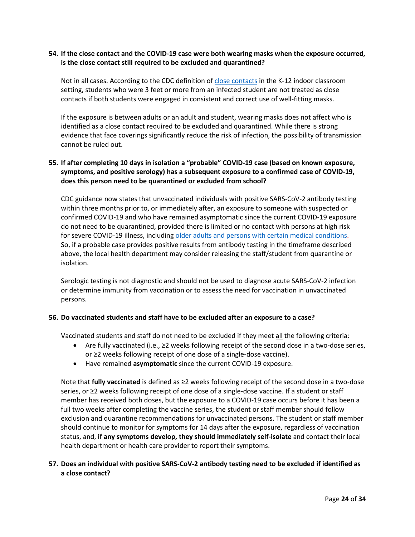# <span id="page-23-0"></span>**54. If the close contact and the COVID-19 case were both wearing masks when the exposure occurred, is the close contact still required to be excluded and quarantined?**

Not in all cases. According to the CDC definition o[f close contacts](https://www.cdc.gov/coronavirus/2019-ncov/php/contact-tracing/contact-tracing-plan/appendix.html#contact) in the K-12 indoor classroom setting, students who were 3 feet or more from an infected student are not treated as close contacts if both students were engaged in consistent and correct use of well-fitting masks.

If the exposure is between adults or an adult and student, wearing masks does not affect who is identified as a close contact required to be excluded and quarantined. While there is strong evidence that face coverings significantly reduce the risk of infection, the possibility of transmission cannot be ruled out.

# <span id="page-23-1"></span>**55. If after completing 10 days in isolation a "probable" COVID-19 case (based on known exposure, symptoms, and positive serology) has a subsequent exposure to a confirmed case of COVID-19, does this person need to be quarantined or excluded from school?**

CDC guidance now states that unvaccinated individuals with positive SARS-CoV-2 antibody testing within three months prior to, or immediately after, an exposure to someone with suspected or confirmed COVID-19 and who have remained asymptomatic since the current COVID-19 exposure do not need to be quarantined, provided there is limited or no contact with persons at high risk for severe COVID-19 illness, including [older adults and persons with certain medical conditions.](https://www.cdc.gov/coronavirus/2019-ncov/need-extra-precautions/index.html) So, if a probable case provides positive results from antibody testing in the timeframe described above, the local health department may consider releasing the staff/student from quarantine or isolation.

Serologic testing is not diagnostic and should not be used to diagnose acute SARS-CoV-2 infection or determine immunity from vaccination or to assess the need for vaccination in unvaccinated persons.

#### <span id="page-23-2"></span>**56. Do vaccinated students and staff have to be excluded after an exposure to a case?**

Vaccinated students and staff do not need to be excluded if they meet all the following criteria:

- Are fully vaccinated (i.e., ≥2 weeks following receipt of the second dose in a two-dose series, or ≥2 weeks following receipt of one dose of a single-dose vaccine).
- Have remained **asymptomatic** since the current COVID-19 exposure.

Note that **fully vaccinated** is defined as ≥2 weeks following receipt of the second dose in a two-dose series, or ≥2 weeks following receipt of one dose of a single-dose vaccine. If a student or staff member has received both doses, but the exposure to a COVID-19 case occurs before it has been a full two weeks after completing the vaccine series, the student or staff member should follow exclusion and quarantine recommendations for unvaccinated persons. The student or staff member should continue to monitor for symptoms for 14 days after the exposure, regardless of vaccination status, and, **if any symptoms develop, they should immediately self-isolate** and contact their local health department or health care provider to report their symptoms.

# <span id="page-23-3"></span>**57. Does an individual with positive SARS-CoV-2 antibody testing need to be excluded if identified as a close contact?**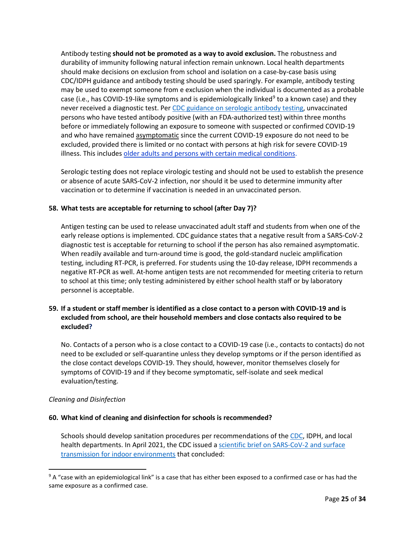Antibody testing **should not be promoted as a way to avoid exclusion.** The robustness and durability of immunity following natural infection remain unknown. Local health departments should make decisions on exclusion from school and isolation on a case-by-case basis using CDC/IDPH guidance and antibody testing should be used sparingly. For example, antibody testing may be used to exempt someone from e exclusion when the individual is documented as a probable case (i.e., has COVID-1[9](#page-24-4)-like symptoms and is epidemiologically linked<sup>9</sup> to a known case) and they never received a diagnostic test. Per [CDC guidance on serologic antibody testing,](https://www.cdc.gov/coronavirus/2019-ncov/lab/resources/antibody-tests-guidelines.html) unvaccinated persons who have tested antibody positive (with an FDA-authorized test) within three months before or immediately following an exposure to someone with suspected or confirmed COVID-19 and who have remained asymptomatic since the current COVID-19 exposure do not need to be excluded, provided there is limited or no contact with persons at high risk for severe COVID-19 illness. This includes [older adults and persons with certain medical conditions.](https://www.cdc.gov/coronavirus/2019-ncov/need-extra-precautions/index.html)

Serologic testing does not replace virologic testing and should not be used to establish the presence or absence of acute SARS-CoV-2 infection, nor should it be used to determine immunity after vaccination or to determine if vaccination is needed in an unvaccinated person.

# <span id="page-24-0"></span>**58. What tests are acceptable for returning to school (after Day 7)?**

Antigen testing can be used to release unvaccinated adult staff and students from when one of the early release options is implemented. CDC guidance states that a negative result from a SARS-CoV-2 diagnostic test is acceptable for returning to school if the person has also remained asymptomatic. When readily available and turn-around time is good, the gold-standard nucleic amplification testing, including RT-PCR, is preferred. For students using the 10-day release, IDPH recommends a negative RT-PCR as well. At-home antigen tests are not recommended for meeting criteria to return to school at this time; only testing administered by either school health staff or by laboratory personnel is acceptable.

# <span id="page-24-1"></span>**59. If a student or staff member is identified as a close contact to a person with COVID-19 and is excluded from school, are their household members and close contacts also required to be excluded?**

No. Contacts of a person who is a close contact to a COVID-19 case (i.e., contacts to contacts) do not need to be excluded or self-quarantine unless they develop symptoms or if the person identified as the close contact develops COVID-19. They should, however, monitor themselves closely for symptoms of COVID-19 and if they become symptomatic, self-isolate and seek medical evaluation/testing.

# <span id="page-24-2"></span>*Cleaning and Disinfection*

# <span id="page-24-3"></span>**60. What kind of cleaning and disinfection for schools is recommended?**

Schools should develop sanitation procedures per recommendations of the [CDC,](https://www.cdc.gov/coronavirus/2019-ncov/community/schools-childcare/clean-disinfect-hygiene.html) IDPH, and local health departments. In April 2021, the CDC issued a [scientific brief on SARS-CoV-2 and surface](https://www.cdc.gov/coronavirus/2019-ncov/more/science-and-research/surface-transmission.html)  [transmission for indoor environments](https://www.cdc.gov/coronavirus/2019-ncov/more/science-and-research/surface-transmission.html) that concluded:

<span id="page-24-4"></span><sup>&</sup>lt;sup>9</sup> A "case with an epidemiological link" is a case that has either been exposed to a confirmed case or has had the same exposure as a confirmed case.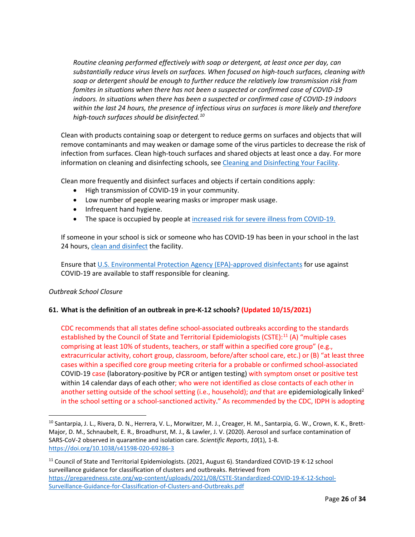*Routine cleaning performed effectively with soap or detergent, at least once per day, can substantially reduce virus levels on surfaces. When focused on high-touch surfaces, cleaning with soap or detergent should be enough to further reduce the relatively low transmission risk from fomites in situations when there has not been a suspected or confirmed case of COVID-19 indoors. In situations when there has been a suspected or confirmed case of COVID-19 indoors within the last 24 hours, the presence of infectious virus on surfaces is more likely and therefore high-touch surfaces should be disinfected.[10](#page-25-2)*

Clean with products containing soap or detergent to reduce germs on surfaces and objects that will remove contaminants and may weaken or damage some of the virus particles to decrease the risk of infection from surfaces. Clean high-touch surfaces and shared objects at least once a day. For more information on cleaning and disinfecting schools, see [Cleaning and Disinfecting Your Facility.](https://www.cdc.gov/coronavirus/2019-ncov/community/disinfecting-building-facility.html)

Clean more frequently and disinfect surfaces and objects if certain conditions apply:

- High transmission of COVID-19 in your community.
- Low number of people wearing masks or improper mask usage.
- Infrequent hand hygiene.
- The space is occupied by people at [increased risk for severe illness from COVID-19.](https://www.cdc.gov/coronavirus/2019-ncov/need-extra-precautions/people-with-medical-conditions.html)

If someone in your school is sick or someone who has COVID-19 has been in your school in the last 24 hours[, clean and disinfect](https://www.cdc.gov/coronavirus/2019-ncov/community/disinfecting-building-facility.html) the facility.

Ensure that [U.S. Environmental Protection Agency \(EPA\)-approved disinfectants](https://www.epa.gov/pesticide-registration/list-n-disinfectants-use-against-sars-cov-2) for use against COVID-19 are available to staff responsible for cleaning.

# <span id="page-25-0"></span>*Outbreak School Closure*

# <span id="page-25-1"></span>**61. What is the definition of an outbreak in pre-K-12 schools? (Updated 10/15/2021)**

CDC recommends that all states define school-associated outbreaks according to the standards established by the Council of State and Territorial Epidemiologists (CSTE):<sup>[11](#page-25-3)</sup> (A) "multiple cases comprising at least 10% of students, teachers, or staff within a specified core group" (e.g., extracurricular activity, cohort group, classroom, before/after school care, etc.) or (B) "at least three cases within a specified core group meeting criteria for a probable or confirmed school-associated COVID-19 case (laboratory-positive by PCR or antigen testing) with symptom onset or positive test within 14 calendar days of each other; who were not identified as close contacts of each other in another setting outside of the school setting (i.e., household); *and* that are epidemiologically linked<sup>2</sup> in the school setting or a school-sanctioned activity." As recommended by the CDC, IDPH is adopting

<span id="page-25-2"></span><sup>&</sup>lt;sup>10</sup> Santarpia, J. L., Rivera, D. N., Herrera, V. L., Morwitzer, M. J., Creager, H. M., Santarpia, G. W., Crown, K. K., Brett-Major, D. M., Schnaubelt, E. R., Broadhurst, M. J., & Lawler, J. V. (2020). Aerosol and surface contamination of SARS-CoV-2 observed in quarantine and isolation care. *Scientific Reports*, *10*(1), 1-8. <https://doi.org/10.1038/s41598-020-69286-3>

<span id="page-25-3"></span><sup>&</sup>lt;sup>11</sup> Council of State and Territorial Epidemiologists. (2021, August 6). Standardized COVID-19 K-12 school surveillance guidance for classification of clusters and outbreaks. Retrieved from [https://preparedness.cste.org/wp-content/uploads/2021/08/CSTE-Standardized-COVID-19-K-12-School-](https://preparedness.cste.org/wp-content/uploads/2021/08/CSTE-Standardized-COVID-19-K-12-School-Surveillance-Guidance-for-Classification-of-Clusters-and-Outbreaks.pdf)[Surveillance-Guidance-for-Classification-of-Clusters-and-Outbreaks.pdf](https://preparedness.cste.org/wp-content/uploads/2021/08/CSTE-Standardized-COVID-19-K-12-School-Surveillance-Guidance-for-Classification-of-Clusters-and-Outbreaks.pdf)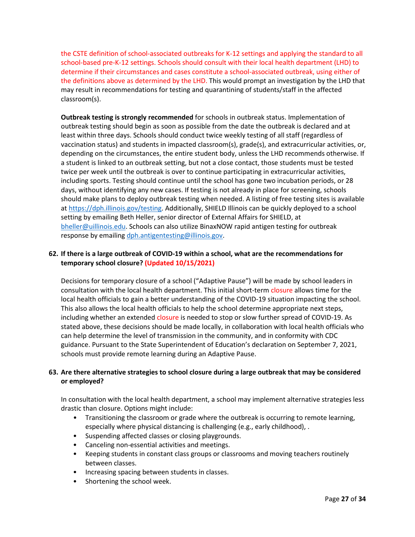the CSTE definition of school-associated outbreaks for K-12 settings and applying the standard to all school-based pre-K-12 settings. Schools should consult with their local health department (LHD) to determine if their circumstances and cases constitute a school-associated outbreak, using either of the definitions above as determined by the LHD. This would prompt an investigation by the LHD that may result in recommendations for testing and quarantining of students/staff in the affected classroom(s).

**Outbreak testing is strongly recommended** for schools in outbreak status. Implementation of outbreak testing should begin as soon as possible from the date the outbreak is declared and at least within three days. Schools should conduct twice weekly testing of all staff (regardless of vaccination status) and students in impacted classroom(s), grade(s), and extracurricular activities, or, depending on the circumstances, the entire student body, unless the LHD recommends otherwise. If a student is linked to an outbreak setting, but not a close contact, those students must be tested twice per week until the outbreak is over to continue participating in extracurricular activities, including sports. Testing should continue until the school has gone two incubation periods, or 28 days, without identifying any new cases. If testing is not already in place for screening, schools should make plans to deploy outbreak testing when needed. A listing of free testing sites is available at [https://dph.illinois.gov/testing.](https://dph.illinois.gov/testing) Additionally, SHIELD Illinois can be quickly deployed to a school setting by emailing Beth Heller, senior director of External Affairs for SHIELD, at [bheller@uillinois.edu.](mailto:bheller@uillinois.edu) Schools can also utilize BinaxNOW rapid antigen testing for outbreak response by emailing [dph.antigentesting@illinois.gov.](mailto:dph.antigentesting@illinois.gov)

# <span id="page-26-0"></span>**62. If there is a large outbreak of COVID-19 within a school, what are the recommendations for temporary school closure? (Updated 10/15/2021)**

Decisions for temporary closure of a school ("Adaptive Pause") will be made by school leaders in consultation with the local health department. This initial short-term closure allows time for the local health officials to gain a better understanding of the COVID-19 situation impacting the school. This also allows the local health officials to help the school determine appropriate next steps, including whether an extended closure is needed to stop or slow further spread of COVID-19. As stated above, these decisions should be made locally, in collaboration with local health officials who can help determine the level of transmission in the community, and in conformity with CDC guidance. Pursuant to the State Superintendent of Education's declaration on September 7, 2021, schools must provide remote learning during an Adaptive Pause.

# <span id="page-26-1"></span>**63. Are there alternative strategies to school closure during a large outbreak that may be considered or employed?**

In consultation with the local health department, a school may implement alternative strategies less drastic than closure. Options might include:

- Transitioning the classroom or grade where the outbreak is occurring to remote learning, especially where physical distancing is challenging (e.g., early childhood), .
- Suspending affected classes or closing playgrounds.
- Canceling non-essential activities and meetings.
- Keeping students in constant class groups or classrooms and moving teachers routinely between classes.
- Increasing spacing between students in classes.
- Shortening the school week.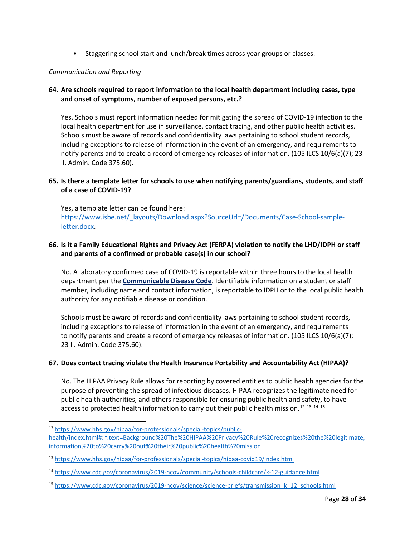• Staggering school start and lunch/break times across year groups or classes.

# <span id="page-27-0"></span>*Communication and Reporting*

# <span id="page-27-1"></span>**64. Are schools required to report information to the local health department including cases, type and onset of symptoms, number of exposed persons, etc.?**

Yes. Schools must report information needed for mitigating the spread of COVID-19 infection to the local health department for use in surveillance, contact tracing, and other public health activities. Schools must be aware of records and confidentiality laws pertaining to school student records, including exceptions to release of information in the event of an emergency, and requirements to notify parents and to create a record of emergency releases of information. (105 ILCS 10/6(a)(7); 23 Il. Admin. Code 375.60).

# <span id="page-27-2"></span>**65. Is there a template letter for schools to use when notifying parents/guardians, students, and staff of a case of COVID-19?**

Yes, a template letter can be found here: [https://www.isbe.net/\\_layouts/Download.aspx?SourceUrl=/Documents/Case-School-sample](https://www.isbe.net/_layouts/Download.aspx?SourceUrl=/Documents/Case-School-sample-letter.docx)[letter.docx.](https://www.isbe.net/_layouts/Download.aspx?SourceUrl=/Documents/Case-School-sample-letter.docx)

# <span id="page-27-3"></span>**66. Is it a Family Educational Rights and Privacy Act (FERPA) violation to notify the LHD/IDPH or staff and parents of a confirmed or probable case(s) in our school?**

No. A laboratory confirmed case of COVID-19 is reportable within three hours to the local health department per the **[Communicable Disease Code](ftp://www.ilga.gov/JCAR/AdminCode/077/07700690sections.html)**. Identifiable information on a student or staff member, including name and contact information, is reportable to IDPH or to the local public health authority for any notifiable disease or condition.

Schools must be aware of records and confidentiality laws pertaining to school student records, including exceptions to release of information in the event of an emergency, and requirements to notify parents and create a record of emergency releases of information. (105 ILCS 10/6(a)(7); 23 Il. Admin. Code 375.60).

# <span id="page-27-4"></span>**67. Does contact tracing violate the Health Insurance Portability and Accountability Act (HIPAA)?**

No. The HIPAA Privacy Rule allows for reporting by covered entities to public health agencies for the purpose of preventing the spread of infectious diseases. HIPAA recognizes the legitimate need for public health authorities, and others responsible for ensuring public health and safety, to have access to protected health information to carry out their public health mission.<sup>[12](#page-27-5)</sup> <sup>[13](#page-27-6)</sup> <sup>[14](#page-27-7)</sup> <sup>[15](#page-27-8)</sup>

<span id="page-27-5"></span><sup>12</sup> [https://www.hhs.gov/hipaa/for-professionals/special-topics/public](https://www.hhs.gov/hipaa/for-professionals/special-topics/public-health/index.html#:%7E:text=Background%20The%20HIPAA%20Privacy%20Rule%20recognizes%20the%20legitimate,information%20to%20carry%20out%20their%20public%20health%20mission)[health/index.html#:~:text=Background%20The%20HIPAA%20Privacy%20Rule%20recognizes%20the%20legitimate,](https://www.hhs.gov/hipaa/for-professionals/special-topics/public-health/index.html#:%7E:text=Background%20The%20HIPAA%20Privacy%20Rule%20recognizes%20the%20legitimate,information%20to%20carry%20out%20their%20public%20health%20mission) [information%20to%20carry%20out%20their%20public%20health%20mission](https://www.hhs.gov/hipaa/for-professionals/special-topics/public-health/index.html#:%7E:text=Background%20The%20HIPAA%20Privacy%20Rule%20recognizes%20the%20legitimate,information%20to%20carry%20out%20their%20public%20health%20mission)

<span id="page-27-6"></span><sup>13</sup> <https://www.hhs.gov/hipaa/for-professionals/special-topics/hipaa-covid19/index.html>

<span id="page-27-7"></span><sup>14</sup> <https://www.cdc.gov/coronavirus/2019-ncov/community/schools-childcare/k-12-guidance.html>

<span id="page-27-8"></span><sup>15</sup> [https://www.cdc.gov/coronavirus/2019-ncov/science/science-briefs/transmission\\_k\\_12\\_schools.html](https://www.cdc.gov/coronavirus/2019-ncov/science/science-briefs/transmission_k_12_schools.html)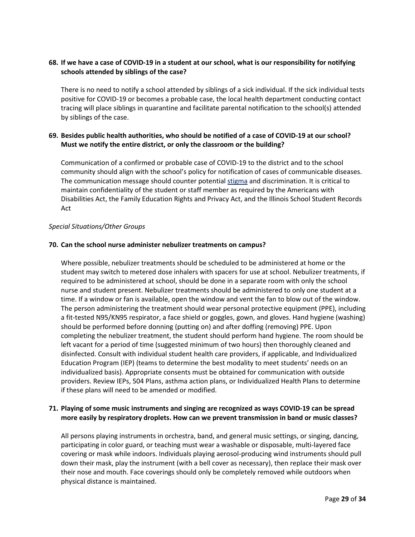# <span id="page-28-0"></span>**68. If we have a case of COVID-19 in a student at our school, what is our responsibility for notifying schools attended by siblings of the case?**

There is no need to notify a school attended by siblings of a sick individual. If the sick individual tests positive for COVID-19 or becomes a probable case, the local health department conducting contact tracing will place siblings in quarantine and facilitate parental notification to the school(s) attended by siblings of the case.

# <span id="page-28-1"></span>**69. Besides public health authorities, who should be notified of a case of COVID-19 at our school? Must we notify the entire district, or only the classroom or the building?**

Communication of a confirmed or probable case of COVID-19 to the district and to the school community should align with the school's policy for notification of cases of communicable diseases. The communication message should counter potentia[l stigma](https://www.cdc.gov/coronavirus/2019-ncov/daily-life-coping/reducing-stigma.html) and discrimination. It is critical to maintain confidentiality of the student or staff member as required by the Americans with Disabilities Act, the Family Education Rights and Privacy Act, and the Illinois School Student Records Act

#### <span id="page-28-2"></span>*Special Situations/Other Groups*

# <span id="page-28-3"></span>**70. Can the school nurse administer nebulizer treatments on campus?**

Where possible, nebulizer treatments should be scheduled to be administered at home or the student may switch to metered dose inhalers with spacers for use at school. Nebulizer treatments, if required to be administered at school, should be done in a separate room with only the school nurse and student present. Nebulizer treatments should be administered to only one student at a time. If a window or fan is available, open the window and vent the fan to blow out of the window. The person administering the treatment should wear personal protective equipment (PPE), including a fit-tested N95/KN95 respirator, a face shield or goggles, gown, and gloves. Hand hygiene (washing) should be performed before donning (putting on) and after doffing (removing) PPE. Upon completing the nebulizer treatment, the student should perform hand hygiene. The room should be left vacant for a period of time (suggested minimum of two hours) then thoroughly cleaned and disinfected. Consult with individual student health care providers, if applicable, and Individualized Education Program (IEP) (teams to determine the best modality to meet students' needs on an individualized basis). Appropriate consents must be obtained for communication with outside providers. Review IEPs, 504 Plans, asthma action plans, or Individualized Health Plans to determine if these plans will need to be amended or modified.

# <span id="page-28-4"></span>**71. Playing of some music instruments and singing are recognized as ways COVID-19 can be spread more easily by respiratory droplets. How can we prevent transmission in band or music classes?**

All persons playing instruments in orchestra, band, and general music settings, or singing, dancing, participating in color guard, or teaching must wear a washable or disposable, multi-layered face covering or mask while indoors. Individuals playing aerosol-producing wind instruments should pull down their mask, play the instrument (with a bell cover as necessary), then replace their mask over their nose and mouth. Face coverings should only be completely removed while outdoors when physical distance is maintained.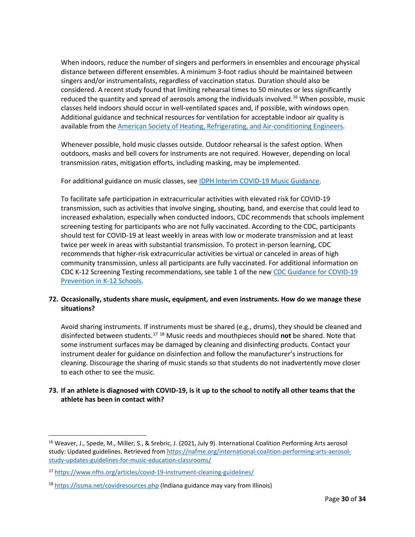When indoors, reduce the number of singers and performers in ensembles and encourage physical distance between different ensembles. A minimum 3-foot radius should be maintained between singers and/or instrumentalists, regardless of vaccination status. Duration should also be considered. A recent study found that limiting rehearsal times to 50 minutes or less significantly reduced the quantity and spread of aerosols among the individuals involved.<sup>[16](#page-29-2)</sup> When possible, music classes held indoors should occur in well-ventilated spaces and, if possible, with windows open. Additional guidance and technical resources for ventilation for acceptable indoor air quality is available from the [American Society of Heating, Refrigerating, and Air-conditioning Engineers.](https://www.ashrae.org/technical-resources/resources)

Whenever possible, hold music classes outside. Outdoor rehearsal is the safest option. When outdoors, masks and bell covers for instruments are not required. However, depending on local transmission rates, mitigation efforts, including masking, may be implemented.

For additional guidance on music classes, see [IDPH Interim COVID-19 Music Guidance.](https://www.dph.illinois.gov/covid19/community-guidance/music-guidance)

To facilitate safe participation in extracurricular activities with elevated risk for COVID-19 transmission, such as activities that involve singing, shouting, band, and exercise that could lead to increased exhalation, especially when conducted indoors, CDC recommends that schools implement screening testing for participants who are not fully vaccinated. According to the CDC, participants should test for COVID-19 at least weekly in areas with low or moderate transmission and at least twice per week in areas with substantial transmission. To protect in-person learning, CDC recommends that higher-risk extracurricular activities be virtual or canceled in areas of high community transmission, unless all participants are fully vaccinated. For additional information on CDC K-12 Screening Testing recommendations, see table 1 of the new [CDC Guidance for COVID-19](https://www.cdc.gov/coronavirus/2019-ncov/community/schools-childcare/k-12-guidance.html)  [Prevention in K-12 Schools.](https://www.cdc.gov/coronavirus/2019-ncov/community/schools-childcare/k-12-guidance.html)

# <span id="page-29-0"></span>**72. Occasionally, students share music, equipment, and even instruments. How do we manage these situations?**

Avoid sharing instruments. If instruments must be shared (e.g., drums), they should be cleaned and disinfected between students. [17](#page-29-3) [18](#page-29-4) Music reeds and mouthpieces should **not** be shared. Note that some instrument surfaces may be damaged by cleaning and disinfecting products. Contact your instrument dealer for guidance on disinfection and follow the manufacturer's instructions for cleaning. Discourage the sharing of music stands so that students do not inadvertently move closer to each other to see the music.

# <span id="page-29-1"></span>**73. If an athlete is diagnosed with COVID-19, is it up to the school to notify all other teams that the athlete has been in contact with?**

<span id="page-29-2"></span><sup>&</sup>lt;sup>16</sup> Weaver, J., Spede, M., Miller, S., & Srebric, J. (2021, July 9). International Coalition Performing Arts aerosol study: Updated guidelines. Retrieved from [https://nafme.org/international-coalition-performing-arts-aerosol](https://nafme.org/international-coalition-performing-arts-aerosol-study-updates-guidelines-for-music-education-classrooms/)[study-updates-guidelines-for-music-education-classrooms/](https://nafme.org/international-coalition-performing-arts-aerosol-study-updates-guidelines-for-music-education-classrooms/)

<span id="page-29-3"></span><sup>17</sup> <https://www.nfhs.org/articles/covid-19-instrument-cleaning-guidelines/>

<span id="page-29-4"></span><sup>&</sup>lt;sup>18</sup> <https://issma.net/covidresources.php> (Indiana guidance may vary from Illinois)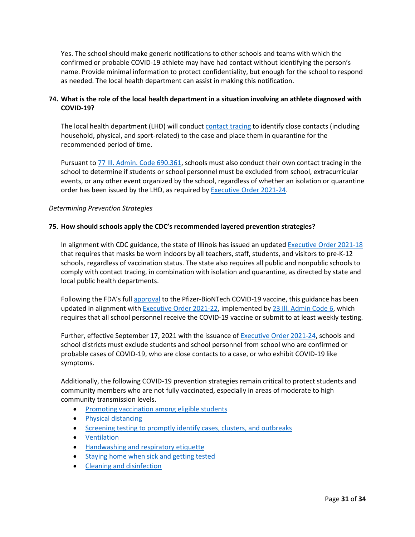Yes. The school should make generic notifications to other schools and teams with which the confirmed or probable COVID-19 athlete may have had contact without identifying the person's name. Provide minimal information to protect confidentiality, but enough for the school to respond as needed. The local health department can assist in making this notification.

# <span id="page-30-0"></span>**74. What is the role of the local health department in a situation involving an athlete diagnosed with COVID-19?**

The local health department (LHD) will conduct [contact tracing](https://www.cdc.gov/coronavirus/2019-ncov/php/open-america/contact-tracing-resources.html) to identify close contacts (including household, physical, and sport-related) to the case and place them in quarantine for the recommended period of time.

Pursuant t[o 77 Ill. Admin. Code 690.361,](https://ilga.gov/commission/jcar/admincode/077/077006900D03610R.html) schools must also conduct their own contact tracing in the school to determine if students or school personnel must be excluded from school, extracurricular events, or any other event organized by the school, regardless of whether an isolation or quarantine order has been issued by the LHD, as required by **Executive Order 2021-24**.

# <span id="page-30-1"></span>*Determining Prevention Strategies*

#### <span id="page-30-2"></span>**75. How should schools apply the CDC's recommended layered prevention strategies?**

In alignment with CDC guidance, the state of Illinois has issued an updated [Executive Order 2021-18](https://www.illinois.gov/government/executive-orders/executive-order.executive-order-number-18.2021.html) that requires that masks be worn indoors by all teachers, staff, students, and visitors to pre-K-12 schools, regardless of vaccination status. The state also requires all public and nonpublic schools to comply with contact tracing, in combination with isolation and quarantine, as directed by state and local public health departments.

Following the FDA's full [approval](https://www.fda.gov/news-events/press-announcements/fda-approves-first-covid-19-vaccine) to the Pfizer-BioNTech COVID-19 vaccine, this guidance has been updated in alignment wit[h Executive Order 2021-22,](https://www.illinois.gov/government/executive-orders/executive-order.executive-order-number-22.2021.html) implemented by 23 Ill. [Admin Code 6,](https://www.isbe.net/Documents/18389_23-6RG-E.pdf) which requires that all school personnel receive the COVID-19 vaccine or submit to at least weekly testing.

Further, effective September 17, 2021 with the issuance of [Executive Order 2021-24,](https://www.illinois.gov/government/executive-orders/executive-order.executive-order-number-24.2021.html) schools and school districts must exclude students and school personnel from school who are confirmed or probable cases of COVID-19, who are close contacts to a case, or who exhibit COVID-19 like symptoms.

Additionally, the following COVID-19 prevention strategies remain critical to protect students and community members who are not fully vaccinated, especially in areas of moderate to high community transmission levels.

- [Promoting vaccination among eligible students](https://www.cdc.gov/coronavirus/2019-ncov/community/colleges-universities/considerations.html#section1)
- [Physical distancing](https://www.cdc.gov/coronavirus/2019-ncov/community/schools-childcare/k-12-guidance.html#physical-distancing)
- [Screening testing to promptly identify cases, clusters, and outbreaks](https://www.cdc.gov/coronavirus/2019-ncov/community/schools-childcare/k-12-guidance.html#screening-testing)
- [Ventilation](https://www.cdc.gov/coronavirus/2019-ncov/community/ventilation.html)
- [Handwashing and respiratory etiquette](https://www.cdc.gov/coronavirus/2019-ncov/community/schools-childcare/k-12-guidance.html#handwashing)
- [Staying home when sick and getting tested](https://www.cdc.gov/coronavirus/2019-ncov/community/schools-childcare/k-12-guidance.html#staying-home)
- [Cleaning and disinfection](https://www.cdc.gov/coronavirus/2019-ncov/community/disinfecting-building-facility.html)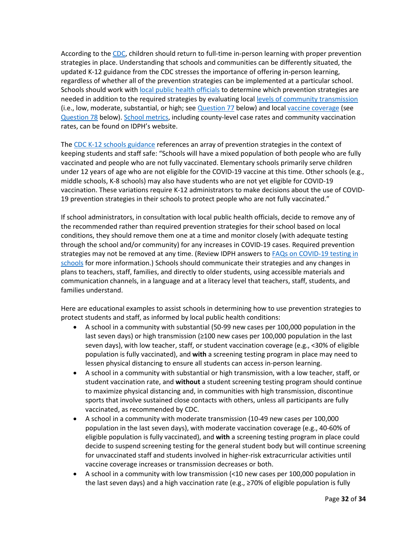According to th[e CDC,](https://www.cdc.gov/coronavirus/2019-ncov/vaccines/fully-vaccinated-guidance.html) children should return to full-time in-person learning with proper prevention strategies in place. Understanding that schools and communities can be differently situated, the updated K-12 guidance from the CDC stresses the importance of offering in-person learning, regardless of whether all of the prevention strategies can be implemented at a particular school. Schools should work with [local public health officials](https://www.cdc.gov/publichealthgateway/healthdirectories/index.html) to determine which prevention strategies are needed in addition to the required strategies by evaluating loca[l levels of community transmission](https://covid.cdc.gov/covid-data-tracker/#county-view) (i.e., low, moderate, substantial, or high; se[e Question 77](#page-32-0) below) and local [vaccine coverage](https://covid.cdc.gov/covid-data-tracker/#vaccinations-county-view) (see [Question 78](#page-32-1) below). [School metrics,](https://www.dph.illinois.gov/countyschool) including county-level case rates and community vaccination rates, can be found on IDPH's website.

The [CDC K-12 schools guidance](https://www.cdc.gov/coronavirus/2019-ncov/community/schools-childcare/k-12-guidance.html) references an array of prevention strategies in the context of keeping students and staff safe: "Schools will have a mixed population of both people who are fully vaccinated and people who are not fully vaccinated. Elementary schools primarily serve children under 12 years of age who are not eligible for the COVID-19 vaccine at this time. Other schools (e.g., middle schools, K-8 schools) may also have students who are not yet eligible for COVID-19 vaccination. These variations require K-12 administrators to make decisions about the use of COVID-19 prevention strategies in their schools to protect people who are not fully vaccinated."

If school administrators, in consultation with local public health officials, decide to remove any of the recommended rather than required prevention strategies for their school based on local conditions, they should remove them one at a time and monitor closely (with adequate testing through the school and/or community) for any increases in COVID-19 cases. Required prevention strategies may not be removed at any time. (Review IDPH answers to FAQs on COVID-19 testing in [schools](https://www.isbe.net/Documents/COVID-Testing-Schools-FAQ.pdf) for more information.) Schools should communicate their strategies and any changes in plans to teachers, staff, families, and directly to older students, using accessible materials and communication channels, in a language and at a literacy level that teachers, staff, students, and families understand.

Here are educational examples to assist schools in determining how to use prevention strategies to protect students and staff, as informed by local public health conditions:

- A school in a community with substantial (50-99 new cases per 100,000 population in the last seven days) or high transmission (≥100 new cases per 100,000 population in the last seven days), with low teacher, staff, or student vaccination coverage (e.g., <30% of eligible population is fully vaccinated), and **with** a screening testing program in place may need to lessen physical distancing to ensure all students can access in-person learning.
- A school in a community with substantial or high transmission, with a low teacher, staff, or student vaccination rate, and **without** a student screening testing program should continue to maximize physical distancing and, in communities with high transmission, discontinue sports that involve sustained close contacts with others, unless all participants are fully vaccinated, as recommended by CDC.
- A school in a community with moderate transmission (10-49 new cases per 100,000 population in the last seven days), with moderate vaccination coverage (e.g., 40-60% of eligible population is fully vaccinated), and **with** a screening testing program in place could decide to suspend screening testing for the general student body but will continue screening for unvaccinated staff and students involved in higher-risk extracurricular activities until vaccine coverage increases or transmission decreases or both.
- A school in a community with low transmission (<10 new cases per 100,000 population in the last seven days) and a high vaccination rate (e.g., ≥70% of eligible population is fully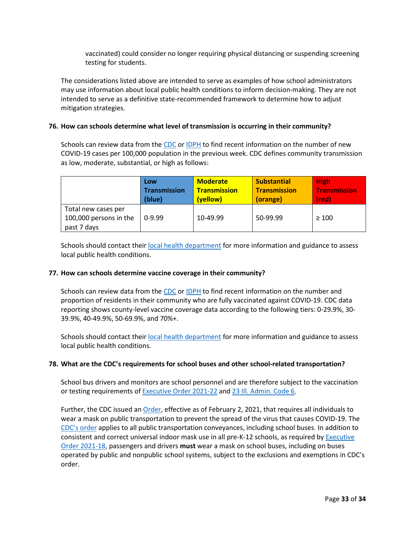vaccinated) could consider no longer requiring physical distancing or suspending screening testing for students.

The considerations listed above are intended to serve as examples of how school administrators may use information about local public health conditions to inform decision-making. They are not intended to serve as a definitive state-recommended framework to determine how to adjust mitigation strategies.

# <span id="page-32-0"></span>**76. How can schools determine what level of transmission is occurring in their community?**

Schools can review data from the [CDC](https://covid.cdc.gov/covid-data-tracker/#county-view) o[r IDPH](https://www.dph.illinois.gov/countyschool) to find recent information on the number of new COVID-19 cases per 100,000 population in the previous week. CDC defines community transmission as low, moderate, substantial, or high as follows:

|                                                              | Low                 | <b>Moderate</b>     | <b>Substantial</b>  | <b>High</b>         |
|--------------------------------------------------------------|---------------------|---------------------|---------------------|---------------------|
|                                                              | <b>Transmission</b> | <b>Transmission</b> | <b>Transmission</b> | <b>Transmission</b> |
|                                                              | (blue)              | (yellow)            | (orange)            | (red)               |
| Total new cases per<br>100,000 persons in the<br>past 7 days | $0-9.99$            | 10-49.99            | 50-99.99            | $\geq 100$          |

Schools should contact thei[r local health department](https://www.dph.illinois.gov/contact-us/idph-regional-health-departments) for more information and guidance to assess local public health conditions.

#### <span id="page-32-1"></span>**77. How can schools determine vaccine coverage in their community?**

Schools can review data from the [CDC](https://covid.cdc.gov/covid-data-tracker/#vaccinations-county-view) o[r IDPH](https://www.dph.illinois.gov/covid19/vaccinedata?county=Illinois) to find recent information on the number and proportion of residents in their community who are fully vaccinated against COVID-19. CDC data reporting shows county-level vaccine coverage data according to the following tiers: 0-29.9%, 30- 39.9%, 40-49.9%, 50-69.9%, and 70%+.

Schools should contact thei[r local health department](https://www.dph.illinois.gov/contact-us/idph-regional-health-departments) for more information and guidance to assess local public health conditions.

#### <span id="page-32-2"></span>**78. What are the CDC's requirements for school buses and other school-related transportation?**

School bus drivers and monitors are school personnel and are therefore subject to the vaccination or testing requirements of [Executive Order 2021-22](https://www.illinois.gov/government/executive-orders/executive-order.executive-order-number-22.2021.html) an[d 23 Ill. Admin. Code 6.](https://www.isbe.net/Documents/18389_23-6RG-E.pdf)

Further, the CDC issued an [Order,](https://www.cdc.gov/quarantine/masks/mask-travel-guidance.html) effective as of February 2, 2021, that requires all individuals to wear a mask on public transportation to prevent the spread of the virus that causes COVID-19. The [CDC's order](https://www.cdc.gov/quarantine/masks/mask-travel-guidance.html) applies to all public transportation conveyances, including school buses. In addition to consistent and correct universal indoor mask use in all pre-K-12 schools, as required by **Executive** [Order 2021-18,](https://www.illinois.gov/government/executive-orders/executive-order.executive-order-number-18.2021.html) passengers and drivers **must** wear a mask on school buses, including on buses operated by public and nonpublic school systems, subject to the exclusions and exemptions in CDC's order.